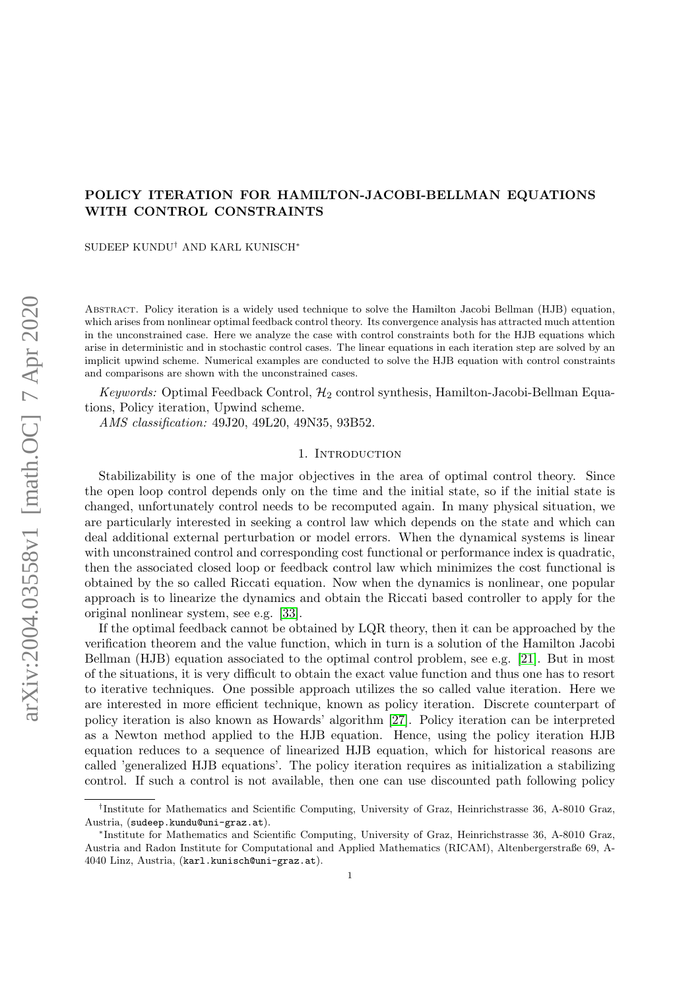# POLICY ITERATION FOR HAMILTON-JACOBI-BELLMAN EQUATIONS WITH CONTROL CONSTRAINTS

SUDEEP KUNDU† AND KARL KUNISCH<sup>∗</sup>

Abstract. Policy iteration is a widely used technique to solve the Hamilton Jacobi Bellman (HJB) equation, which arises from nonlinear optimal feedback control theory. Its convergence analysis has attracted much attention in the unconstrained case. Here we analyze the case with control constraints both for the HJB equations which arise in deterministic and in stochastic control cases. The linear equations in each iteration step are solved by an implicit upwind scheme. Numerical examples are conducted to solve the HJB equation with control constraints and comparisons are shown with the unconstrained cases.

Keywords: Optimal Feedback Control,  $\mathcal{H}_2$  control synthesis, Hamilton-Jacobi-Bellman Equations, Policy iteration, Upwind scheme.

AMS classification: 49J20, 49L20, 49N35, 93B52.

#### 1. INTRODUCTION

Stabilizability is one of the major objectives in the area of optimal control theory. Since the open loop control depends only on the time and the initial state, so if the initial state is changed, unfortunately control needs to be recomputed again. In many physical situation, we are particularly interested in seeking a control law which depends on the state and which can deal additional external perturbation or model errors. When the dynamical systems is linear with unconstrained control and corresponding cost functional or performance index is quadratic, then the associated closed loop or feedback control law which minimizes the cost functional is obtained by the so called Riccati equation. Now when the dynamics is nonlinear, one popular approach is to linearize the dynamics and obtain the Riccati based controller to apply for the original nonlinear system, see e.g. [\[33\]](#page-21-0).

If the optimal feedback cannot be obtained by LQR theory, then it can be approached by the verification theorem and the value function, which in turn is a solution of the Hamilton Jacobi Bellman (HJB) equation associated to the optimal control problem, see e.g. [\[21\]](#page-20-0). But in most of the situations, it is very difficult to obtain the exact value function and thus one has to resort to iterative techniques. One possible approach utilizes the so called value iteration. Here we are interested in more efficient technique, known as policy iteration. Discrete counterpart of policy iteration is also known as Howards' algorithm [\[27\]](#page-20-1). Policy iteration can be interpreted as a Newton method applied to the HJB equation. Hence, using the policy iteration HJB equation reduces to a sequence of linearized HJB equation, which for historical reasons are called 'generalized HJB equations'. The policy iteration requires as initialization a stabilizing control. If such a control is not available, then one can use discounted path following policy

<sup>&</sup>lt;sup>†</sup>Institute for Mathematics and Scientific Computing, University of Graz, Heinrichstrasse 36, A-8010 Graz, Austria, (sudeep.kundu@uni-graz.at).

<sup>∗</sup> Institute for Mathematics and Scientific Computing, University of Graz, Heinrichstrasse 36, A-8010 Graz, Austria and Radon Institute for Computational and Applied Mathematics (RICAM), Altenbergerstraße 69, A-4040 Linz, Austria, (karl.kunisch@uni-graz.at).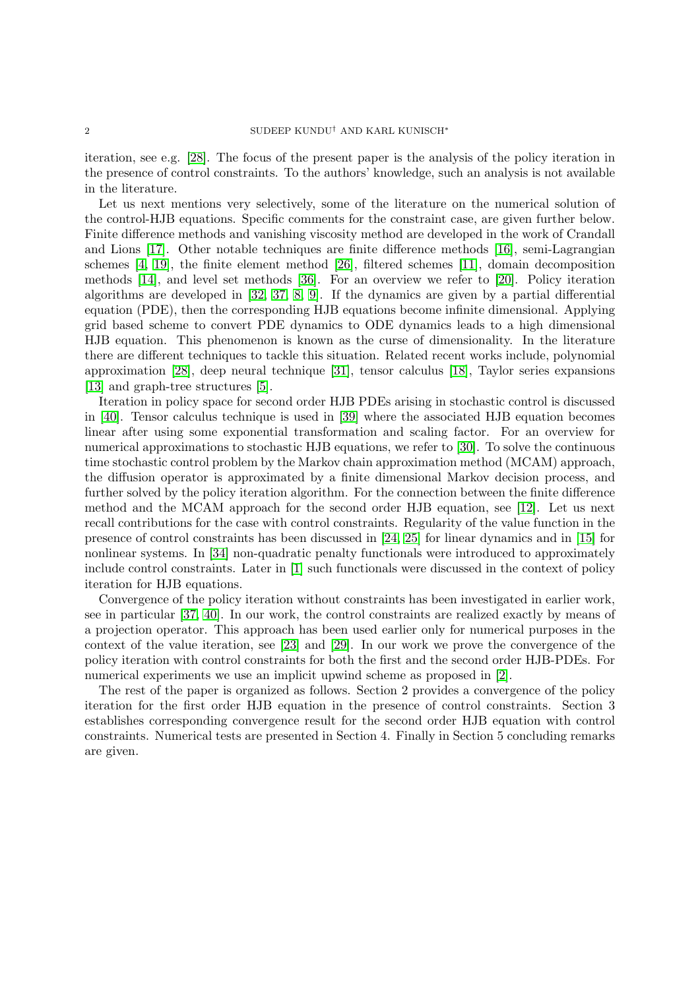iteration, see e.g. [\[28\]](#page-21-1). The focus of the present paper is the analysis of the policy iteration in the presence of control constraints. To the authors' knowledge, such an analysis is not available in the literature.

Let us next mentions very selectively, some of the literature on the numerical solution of the control-HJB equations. Specific comments for the constraint case, are given further below. Finite difference methods and vanishing viscosity method are developed in the work of Crandall and Lions [\[17\]](#page-20-2). Other notable techniques are finite difference methods [\[16\]](#page-20-3), semi-Lagrangian schemes [\[4,](#page-20-4) [19\]](#page-20-5), the finite element method [\[26\]](#page-20-6), filtered schemes [\[11\]](#page-20-7), domain decomposition methods [\[14\]](#page-20-8), and level set methods [\[36\]](#page-21-2). For an overview we refer to [\[20\]](#page-20-9). Policy iteration algorithms are developed in [\[32,](#page-21-3) [37,](#page-21-4) [8,](#page-20-10) [9\]](#page-20-11). If the dynamics are given by a partial differential equation (PDE), then the corresponding HJB equations become infinite dimensional. Applying grid based scheme to convert PDE dynamics to ODE dynamics leads to a high dimensional HJB equation. This phenomenon is known as the curse of dimensionality. In the literature there are different techniques to tackle this situation. Related recent works include, polynomial approximation [\[28\]](#page-21-1), deep neural technique [\[31\]](#page-21-5), tensor calculus [\[18\]](#page-20-12), Taylor series expansions [\[13\]](#page-20-13) and graph-tree structures [\[5\]](#page-20-14).

Iteration in policy space for second order HJB PDEs arising in stochastic control is discussed in [\[40\]](#page-21-6). Tensor calculus technique is used in [\[39\]](#page-21-7) where the associated HJB equation becomes linear after using some exponential transformation and scaling factor. For an overview for numerical approximations to stochastic HJB equations, we refer to [\[30\]](#page-21-8). To solve the continuous time stochastic control problem by the Markov chain approximation method (MCAM) approach, the diffusion operator is approximated by a finite dimensional Markov decision process, and further solved by the policy iteration algorithm. For the connection between the finite difference method and the MCAM approach for the second order HJB equation, see [\[12\]](#page-20-15). Let us next recall contributions for the case with control constraints. Regularity of the value function in the presence of control constraints has been discussed in [\[24,](#page-20-16) [25\]](#page-20-17) for linear dynamics and in [\[15\]](#page-20-18) for nonlinear systems. In [\[34\]](#page-21-9) non-quadratic penalty functionals were introduced to approximately include control constraints. Later in [\[1\]](#page-20-19) such functionals were discussed in the context of policy iteration for HJB equations.

Convergence of the policy iteration without constraints has been investigated in earlier work, see in particular [\[37,](#page-21-4) [40\]](#page-21-6). In our work, the control constraints are realized exactly by means of a projection operator. This approach has been used earlier only for numerical purposes in the context of the value iteration, see [\[23\]](#page-20-20) and [\[29\]](#page-21-10). In our work we prove the convergence of the policy iteration with control constraints for both the first and the second order HJB-PDEs. For numerical experiments we use an implicit upwind scheme as proposed in [\[2\]](#page-20-21).

The rest of the paper is organized as follows. Section 2 provides a convergence of the policy iteration for the first order HJB equation in the presence of control constraints. Section 3 establishes corresponding convergence result for the second order HJB equation with control constraints. Numerical tests are presented in Section 4. Finally in Section 5 concluding remarks are given.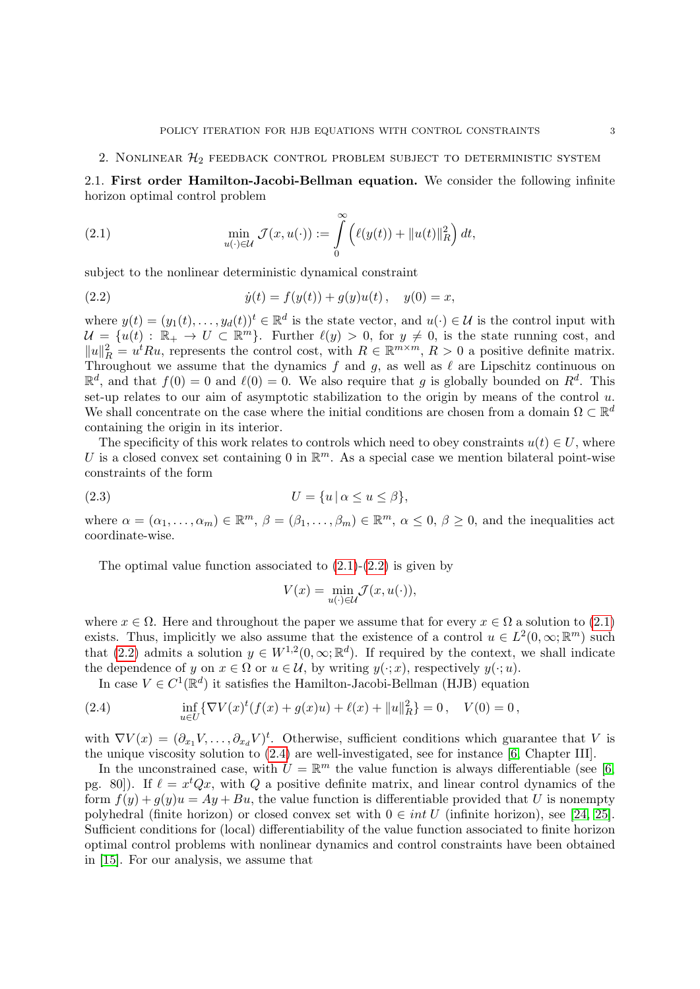2. NONLINEAR  $\mathcal{H}_2$  feedback control problem subject to deterministic system

2.1. First order Hamilton-Jacobi-Bellman equation. We consider the following infinite horizon optimal control problem

<span id="page-2-0"></span>(2.1) 
$$
\min_{u(\cdot)\in\mathcal{U}}\mathcal{J}(x,u(\cdot)):=\int\limits_{0}^{\infty}\left(\ell(y(t))+\|u(t)\|_{R}^{2}\right)dt,
$$

subject to the nonlinear deterministic dynamical constraint

<span id="page-2-1"></span>(2.2) 
$$
\dot{y}(t) = f(y(t)) + g(y)u(t), \quad y(0) = x,
$$

where  $y(t) = (y_1(t), \ldots, y_d(t))^t \in \mathbb{R}^d$  is the state vector, and  $u(\cdot) \in \mathcal{U}$  is the control input with  $\mathcal{U} = \{u(t) : \mathbb{R}_+ \to U \subset \mathbb{R}^m\}$ . Further  $\ell(y) > 0$ , for  $y \neq 0$ , is the state running cost, and  $||u||_R^2 = u^t R u$ , represents the control cost, with  $R \in \mathbb{R}^{m \times m}$ ,  $R > 0$  a positive definite matrix. Throughout we assume that the dynamics f and g, as well as  $\ell$  are Lipschitz continuous on  $\mathbb{R}^d$ , and that  $f(0) = 0$  and  $\ell(0) = 0$ . We also require that g is globally bounded on  $R^d$ . This set-up relates to our aim of asymptotic stabilization to the origin by means of the control  $u$ . We shall concentrate on the case where the initial conditions are chosen from a domain  $\Omega \subset \mathbb{R}^d$ containing the origin in its interior.

The specificity of this work relates to controls which need to obey constraints  $u(t) \in U$ , where U is a closed convex set containing 0 in  $\mathbb{R}^m$ . As a special case we mention bilateral point-wise constraints of the form

$$
(2.3) \t\t\t U = \{u \mid \alpha \le u \le \beta\},\
$$

where  $\alpha = (\alpha_1, \ldots, \alpha_m) \in \mathbb{R}^m$ ,  $\beta = (\beta_1, \ldots, \beta_m) \in \mathbb{R}^m$ ,  $\alpha \leq 0$ ,  $\beta \geq 0$ , and the inequalities act coordinate-wise.

The optimal value function associated to  $(2.1)-(2.2)$  $(2.1)-(2.2)$  $(2.1)-(2.2)$  is given by

<span id="page-2-3"></span>
$$
V(x) = \min_{u(\cdot) \in \mathcal{U}} \mathcal{J}(x, u(\cdot)),
$$

where  $x \in \Omega$ . Here and throughout the paper we assume that for every  $x \in \Omega$  a solution to [\(2.1\)](#page-2-0) exists. Thus, implicitly we also assume that the existence of a control  $u \in L^2(0,\infty;\mathbb{R}^m)$  such that [\(2.2\)](#page-2-1) admits a solution  $y \in W^{1,2}(0,\infty;\mathbb{R}^d)$ . If required by the context, we shall indicate the dependence of y on  $x \in \Omega$  or  $u \in \mathcal{U}$ , by writing  $y(\cdot; x)$ , respectively  $y(\cdot; u)$ .

<span id="page-2-2"></span>In case  $V \in C^1(\mathbb{R}^d)$  it satisfies the Hamilton-Jacobi-Bellman (HJB) equation

(2.4) 
$$
\inf_{u \in U} \{ \nabla V(x)^t (f(x) + g(x)u) + \ell(x) + ||u||_R^2 \} = 0, \quad V(0) = 0,
$$

with  $\nabla V(x) = (\partial_{x_1} V, \dots, \partial_{x_d} V)^t$ . Otherwise, sufficient conditions which guarantee that V is the unique viscosity solution to [\(2.4\)](#page-2-2) are well-investigated, see for instance [\[6,](#page-20-22) Chapter III].

In the unconstrained case, with  $U = \mathbb{R}^m$  the value function is always differentiable (see [\[6,](#page-20-22) pg. 80.). If  $\ell = x^t Q x$ , with Q a positive definite matrix, and linear control dynamics of the form  $f(y) + g(y)u = Ay + Bu$ , the value function is differentiable provided that U is nonempty polyhedral (finite horizon) or closed convex set with  $0 \in int U$  (infinite horizon), see [\[24,](#page-20-16) [25\]](#page-20-17). Sufficient conditions for (local) differentiability of the value function associated to finite horizon optimal control problems with nonlinear dynamics and control constraints have been obtained in [\[15\]](#page-20-18). For our analysis, we assume that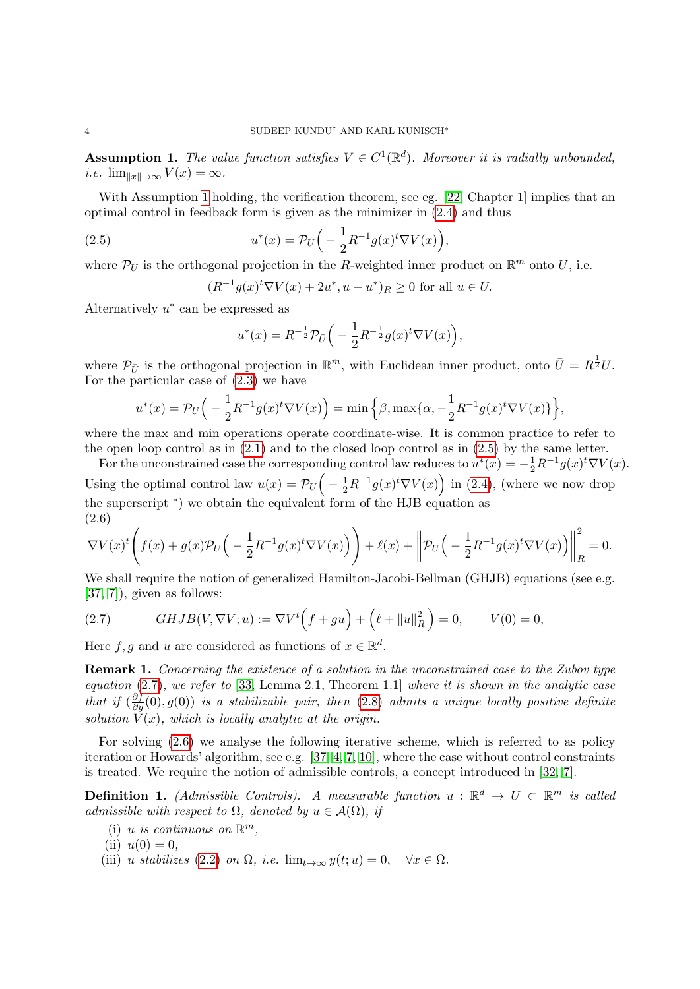<span id="page-3-0"></span>**Assumption 1.** The value function satisfies  $V \in C^1(\mathbb{R}^d)$ . Moreover it is radially unbounded, *i.e.*  $\lim_{\|x\| \to \infty} V(x) = \infty$ .

With Assumption [1](#page-3-0) holding, the verification theorem, see eg. [\[22,](#page-20-23) Chapter 1] implies that an optimal control in feedback form is given as the minimizer in [\(2.4\)](#page-2-2) and thus

(2.5) 
$$
u^*(x) = \mathcal{P}_U\Big(-\frac{1}{2}R^{-1}g(x)^t\nabla V(x)\Big),
$$

where  $\mathcal{P}_U$  is the orthogonal projection in the R-weighted inner product on  $\mathbb{R}^m$  onto U, i.e.

<span id="page-3-1"></span>
$$
(R^{-1}g(x)^t \nabla V(x) + 2u^*, u - u^*)_R \ge 0
$$
 for all  $u \in U$ .

Alternatively  $u^*$  can be expressed as

$$
u^{*}(x) = R^{-\frac{1}{2}} \mathcal{P}_{\bar{U}} \Big( -\frac{1}{2} R^{-\frac{1}{2}} g(x)^{t} \nabla V(x) \Big),
$$

where  $\mathcal{P}_{\bar{U}}$  is the orthogonal projection in  $\mathbb{R}^m$ , with Euclidean inner product, onto  $\bar{U} = R^{\frac{1}{2}}U$ . For the particular case of [\(2.3\)](#page-2-3) we have

$$
u^*(x) = \mathcal{P}_U\Big(-\frac{1}{2}R^{-1}g(x)^t\nabla V(x)\Big) = \min\Big\{\beta, \max\{\alpha, -\frac{1}{2}R^{-1}g(x)^t\nabla V(x)\}\Big\},\
$$

where the max and min operations operate coordinate-wise. It is common practice to refer to the open loop control as in  $(2.1)$  and to the closed loop control as in  $(2.5)$  by the same letter.

For the unconstrained case the corresponding control law reduces to  $u^*(x) = -\frac{1}{2}R^{-1}g(x)^t \nabla V(x)$ . Using the optimal control law  $u(x) = \mathcal{P}_U(-\frac{1}{2}R^{-1}g(x)^t\nabla V(x))$  in [\(2.4\)](#page-2-2), (where we now drop the superscript <sup>∗</sup> ) we obtain the equivalent form of the HJB equation as (2.6)

<span id="page-3-3"></span>
$$
\nabla V(x)^t \left( f(x) + g(x) \mathcal{P}_U \left( -\frac{1}{2} R^{-1} g(x)^t \nabla V(x) \right) \right) + \ell(x) + \left\| \mathcal{P}_U \left( -\frac{1}{2} R^{-1} g(x)^t \nabla V(x) \right) \right\|_R^2 = 0.
$$

We shall require the notion of generalized Hamilton-Jacobi-Bellman (GHJB) equations (see e.g. [\[37,](#page-21-4) [7\]](#page-20-24)), given as follows:

<span id="page-3-2"></span>(2.7) 
$$
GHJB(V, \nabla V; u) := \nabla V^{t}(f + gu) + (\ell + \|u\|_{R}^{2}) = 0, \qquad V(0) = 0,
$$

Here  $f, g$  and u are considered as functions of  $x \in \mathbb{R}^d$ .

Remark 1. Concerning the existence of a solution in the unconstrained case to the Zubov type equation  $(2.7)$ , we refer to [\[33,](#page-21-0) Lemma 2.1, Theorem 1.1] where it is shown in the analytic case that if  $(\frac{\partial f}{\partial y}(0), g(0))$  is a stabilizable pair, then [\(2.8\)](#page-4-0) admits a unique locally positive definite solution  $V(x)$ , which is locally analytic at the origin.

For solving [\(2.6\)](#page-3-3) we analyse the following iterative scheme, which is referred to as policy iteration or Howards' algorithm, see e.g. [\[37,](#page-21-4) [4,](#page-20-4) [7,](#page-20-24) [10\]](#page-20-25), where the case without control constraints is treated. We require the notion of admissible controls, a concept introduced in [\[32,](#page-21-3) [7\]](#page-20-24).

<span id="page-3-4"></span>**Definition 1.** (Admissible Controls). A measurable function  $u : \mathbb{R}^d \to U \subset \mathbb{R}^m$  is called admissible with respect to  $\Omega$ , denoted by  $u \in \mathcal{A}(\Omega)$ , if

- (i) u is continuous on  $\mathbb{R}^m$ ,
- (ii)  $u(0) = 0$ ,
- (iii) u stabilizes [\(2.2\)](#page-2-1) on  $\Omega$ , i.e.  $\lim_{t\to\infty} y(t; u) = 0$ ,  $\forall x \in \Omega$ .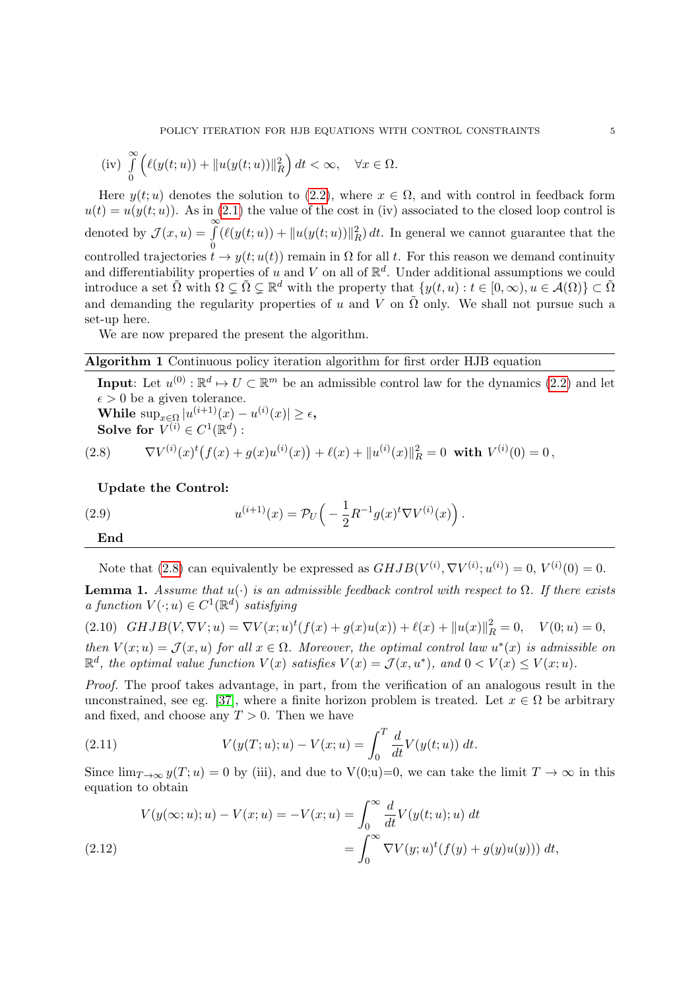(iv) 
$$
\int_{0}^{\infty} \left( \ell(y(t;u)) + ||u(y(t;u))||_{R}^{2} \right) dt < \infty, \quad \forall x \in \Omega.
$$

Here  $y(t; u)$  denotes the solution to [\(2.2\)](#page-2-1), where  $x \in \Omega$ , and with control in feedback form  $u(t) = u(y(t; u))$ . As in [\(2.1\)](#page-2-0) the value of the cost in (iv) associated to the closed loop control is denoted by  $\mathcal{J}(x, u) = \int_0^\infty$  $\boldsymbol{0}$  $(\ell(y(t;u)) + ||u(y(t;u))||_R^2) dt$  . In general we cannot guarantee that the controlled trajectories  $t \to y(t; u(t))$  remain in  $\Omega$  for all t. For this reason we demand continuity and differentiability properties of u and V on all of  $\mathbb{R}^d$ . Under additional assumptions we could introduce a set  $\tilde{\Omega}$  with  $\Omega \subsetneq \tilde{\Omega} \subsetneq \mathbb{R}^d$  with the property that  $\{y(t, u) : t \in [0, \infty), u \in \mathcal{A}(\Omega)\}\subset \tilde{\Omega}$ and demanding the regularity properties of u and V on  $\tilde{\Omega}$  only. We shall not pursue such a set-up here.

We are now prepared the present the algorithm.

# <span id="page-4-4"></span>Algorithm 1 Continuous policy iteration algorithm for first order HJB equation

**Input**: Let  $u^{(0)} : \mathbb{R}^d \to U \subset \mathbb{R}^m$  be an admissible control law for the dynamics [\(2.2\)](#page-2-1) and let  $\epsilon > 0$  be a given tolerance.

While  $\sup_{x \in \Omega} |u^{(i+1)}(x) - u^{(i)}(x)| \ge \epsilon$ , Solve for  $V^{(i)} \in C^1(\mathbb{R}^d)$  :

<span id="page-4-0"></span>(2.8) 
$$
\nabla V^{(i)}(x)^t (f(x) + g(x)u^{(i)}(x)) + \ell(x) + ||u^{(i)}(x)||_R^2 = 0 \text{ with } V^{(i)}(0) = 0,
$$

Update the Control:

End

<span id="page-4-6"></span>(2.9) 
$$
u^{(i+1)}(x) = \mathcal{P}_U\left(-\frac{1}{2}R^{-1}g(x)^t\nabla V^{(i)}(x)\right).
$$

Note that [\(2.8\)](#page-4-0) can equivalently be expressed as  $GHJB(V^{(i)}, \nabla V^{(i)}; u^{(i)}) = 0, V^{(i)}(0) = 0.$ 

<span id="page-4-5"></span>**Lemma 1.** Assume that  $u(\cdot)$  is an admissible feedback control with respect to  $\Omega$ . If there exists a function  $V(\cdot; u) \in C^1(\mathbb{R}^d)$  satisfying

<span id="page-4-2"></span>(2.10)  $GHJB(V, \nabla V; u) = \nabla V(x; u)^t (f(x) + g(x)u(x)) + \ell(x) + ||u(x)||_R^2 = 0, \quad V(0; u) = 0,$ then  $V(x; u) = \mathcal{J}(x, u)$  for all  $x \in \Omega$ . Moreover, the optimal control law  $u^*(x)$  is admissible on  $\mathbb{R}^d$ , the optimal value function  $V(x)$  satisfies  $V(x) = \mathcal{J}(x, u^*)$ , and  $0 < V(x) \leq V(x; u)$ .

Proof. The proof takes advantage, in part, from the verification of an analogous result in the unconstrained, see eg. [\[37\]](#page-21-4), where a finite horizon problem is treated. Let  $x \in \Omega$  be arbitrary and fixed, and choose any  $T > 0$ . Then we have

<span id="page-4-3"></span>(2.11) 
$$
V(y(T; u); u) - V(x; u) = \int_0^T \frac{d}{dt} V(y(t; u)) dt.
$$

Since  $\lim_{T\to\infty} y(T; u) = 0$  by (iii), and due to  $V(0; u) = 0$ , we can take the limit  $T \to \infty$  in this equation to obtain

<span id="page-4-1"></span>
$$
V(y(\infty;u);u) - V(x;u) = -V(x;u) = \int_0^\infty \frac{d}{dt} V(y(t;u);u) dt
$$
  
(2.12)  

$$
= \int_0^\infty \nabla V(y;u)^t (f(y) + g(y)u(y))) dt,
$$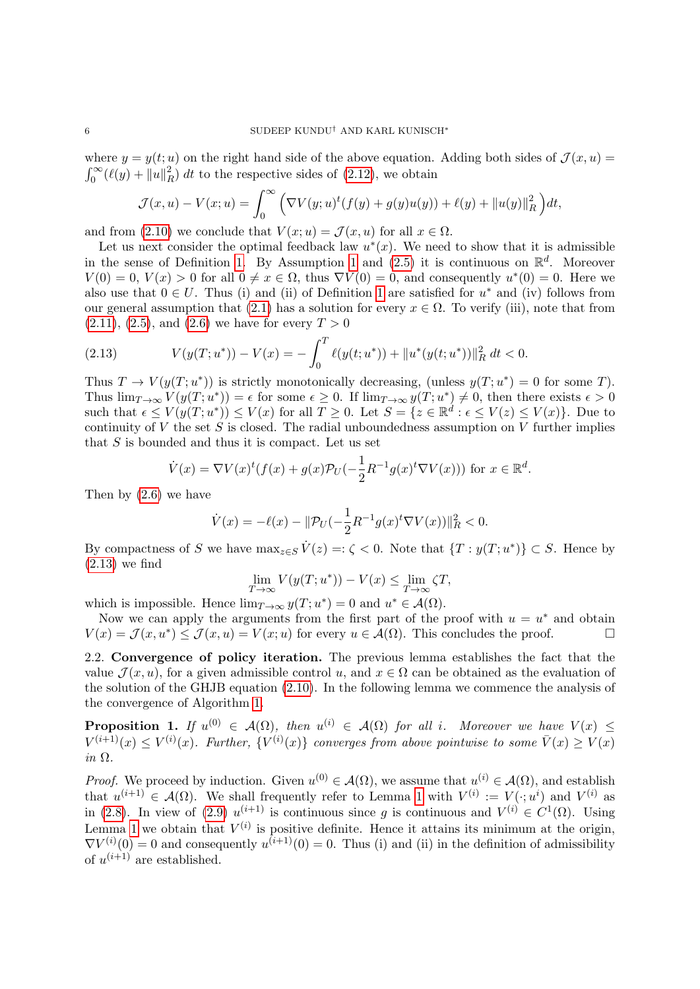where  $y = y(t; u)$  on the right hand side of the above equation. Adding both sides of  $\mathcal{J}(x, u) =$  $\int_0^\infty (\ell(y) + ||u||_F^2)$  $\binom{2}{R}$  dt to the respective sides of [\(2.12\)](#page-4-1), we obtain

$$
\mathcal{J}(x, u) - V(x; u) = \int_0^\infty \left( \nabla V(y; u)^t (f(y) + g(y)u(y)) + \ell(y) + ||u(y)||_R^2 \right) dt,
$$

and from [\(2.10\)](#page-4-2) we conclude that  $V(x; u) = \mathcal{J}(x, u)$  for all  $x \in \Omega$ .

Let us next consider the optimal feedback law  $u^*(x)$ . We need to show that it is admissible in the sense of Definition [1.](#page-3-4) By Assumption [1](#page-3-0) and  $(2.5)$  it is continuous on  $\mathbb{R}^d$ . Moreover  $V(0) = 0, V(x) > 0$  for all  $0 \neq x \in \Omega$ , thus  $\nabla V(0) = 0$ , and consequently  $u^*(0) = 0$ . Here we also use that  $0 \in U$ . Thus (i) and (ii) of Definition [1](#page-3-4) are satisfied for  $u^*$  and (iv) follows from our general assumption that [\(2.1\)](#page-2-0) has a solution for every  $x \in \Omega$ . To verify (iii), note that from  $(2.11), (2.5), \text{ and } (2.6)$  $(2.11), (2.5), \text{ and } (2.6)$  $(2.11), (2.5), \text{ and } (2.6)$  $(2.11), (2.5), \text{ and } (2.6)$  $(2.11), (2.5), \text{ and } (2.6)$  we have for every  $T > 0$ 

<span id="page-5-0"></span>(2.13) 
$$
V(y(T; u^*)) - V(x) = -\int_0^T \ell(y(t; u^*)) + ||u^*(y(t; u^*))||_R^2 dt < 0.
$$

Thus  $T \to V(y(T; u^*))$  is strictly monotonically decreasing, (unless  $y(T; u^*) = 0$  for some T). Thus  $\lim_{T\to\infty} V(y(T;u^*))=\epsilon$  for some  $\epsilon\geq 0$ . If  $\lim_{T\to\infty} y(T;u^*)\neq 0$ , then there exists  $\epsilon>0$ such that  $\epsilon \leq V(y(T; u^*)) \leq V(x)$  for all  $T \geq 0$ . Let  $S = \{z \in \mathbb{R}^d : \epsilon \leq V(z) \leq V(x)\}$ . Due to continuity of  $V$  the set  $S$  is closed. The radial unboundedness assumption on  $V$  further implies that  $S$  is bounded and thus it is compact. Let us set

$$
\dot{V}(x) = \nabla V(x)^t (f(x) + g(x)\mathcal{P}_U(-\frac{1}{2}R^{-1}g(x)^t \nabla V(x))) \text{ for } x \in \mathbb{R}^d.
$$

Then by [\(2.6\)](#page-3-3) we have

$$
\dot{V}(x) = -\ell(x) - \|\mathcal{P}_U(-\frac{1}{2}R^{-1}g(x)^t\nabla V(x))\|_R^2 < 0.
$$

By compactness of S we have  $\max_{z \in S} \dot{V}(z) =: \zeta < 0$ . Note that  $\{T : y(T; u^*)\} \subset S$ . Hence by  $(2.13)$  we find

$$
\lim_{T \to \infty} V(y(T; u^*)) - V(x) \le \lim_{T \to \infty} \zeta T,
$$

which is impossible. Hence  $\lim_{T\to\infty} y(T; u^*) = 0$  and  $u^* \in \mathcal{A}(\Omega)$ .

Now we can apply the arguments from the first part of the proof with  $u = u^*$  and obtain  $V(x) = \mathcal{J}(x, u^*) \leq \mathcal{J}(x, u) = V(x; u)$  for every  $u \in \mathcal{A}(\Omega)$ . This concludes the proof.

2.2. Convergence of policy iteration. The previous lemma establishes the fact that the value  $\mathcal{J}(x, u)$ , for a given admissible control u, and  $x \in \Omega$  can be obtained as the evaluation of the solution of the GHJB equation [\(2.10\)](#page-4-2). In the following lemma we commence the analysis of the convergence of Algorithm [1.](#page-4-4)

<span id="page-5-1"></span>**Proposition 1.** If  $u^{(0)} \in A(\Omega)$ , then  $u^{(i)} \in A(\Omega)$  for all i. Moreover we have  $V(x) \leq$  $V^{(i+1)}(x) \leq V^{(i)}(x)$ . Further,  $\{V^{(i)}(x)\}$  converges from above pointwise to some  $\bar{V}(x) \geq V(x)$ in  $\Omega$ .

*Proof.* We proceed by induction. Given  $u^{(0)} \in \mathcal{A}(\Omega)$ , we assume that  $u^{(i)} \in \mathcal{A}(\Omega)$ , and establish that  $u^{(i+1)} \in \mathcal{A}(\Omega)$ . We shall frequently refer to Lemma [1](#page-4-5) with  $V^{(i)} := V(\cdot; u^i)$  and  $V^{(i)}$  as in [\(2.8\)](#page-4-0). In view of [\(2.9\)](#page-4-6)  $u^{(i+1)}$  is continuous since g is continuous and  $V^{(i)} \in C^1(\Omega)$ . Using Lemma [1](#page-4-5) we obtain that  $V^{(i)}$  is positive definite. Hence it attains its minimum at the origin,  $\nabla V^{(i)}(0) = 0$  and consequently  $u^{(i+1)}(0) = 0$ . Thus (i) and (ii) in the definition of admissibility of  $u^{(i+1)}$  are established.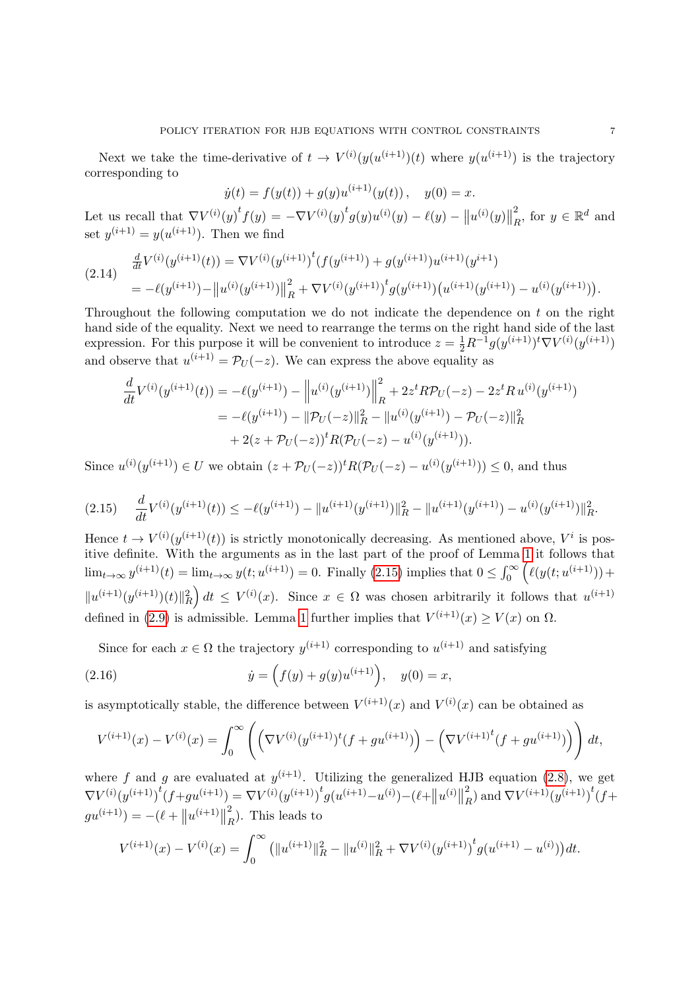Next we take the time-derivative of  $t \to V^{(i)}(y(u^{(i+1)}))$  where  $y(u^{(i+1)})$  is the trajectory corresponding to

$$
\dot{y}(t) = f(y(t)) + g(y)u^{(i+1)}(y(t)), \quad y(0) = x.
$$

Let us recall that  $\nabla V^{(i)}(y)^t f(y) = -\nabla V^{(i)}(y)^t g(y) u^{(i)}(y) - \ell(y) - ||u^{(i)}(y)||$ 2  $\frac{2}{R}$ , for  $y \in \mathbb{R}^d$  and set  $y^{(i+1)} = y(u^{(i+1)})$ . Then we find

<span id="page-6-1"></span>
$$
(2.14) \quad \frac{d}{dt} V^{(i)}(y^{(i+1)}(t)) = \nabla V^{(i)}(y^{(i+1)})^t (f(y^{(i+1)}) + g(y^{(i+1)})u^{(i+1)}(y^{i+1})
$$
\n
$$
= -\ell(y^{(i+1)}) - ||u^{(i)}(y^{(i+1)})||_R^2 + \nabla V^{(i)}(y^{(i+1)})^t g(y^{(i+1)}) (u^{(i+1)}(y^{(i+1)}) - u^{(i)}(y^{(i+1)})).
$$

Throughout the following computation we do not indicate the dependence on t on the right hand side of the equality. Next we need to rearrange the terms on the right hand side of the last expression. For this purpose it will be convenient to introduce  $z = \frac{1}{2}R^{-1}g(y^{(i+1)})^t \nabla V^{(i)}(y^{(i+1)})$ and observe that  $u^{(i+1)} = \mathcal{P}_U(-z)$ . We can express the above equality as

$$
\frac{d}{dt}V^{(i)}(y^{(i+1)}(t)) = -\ell(y^{(i+1)}) - ||u^{(i)}(y^{(i+1)})||_R^2 + 2z^t R \mathcal{P}_U(-z) - 2z^t R u^{(i)}(y^{(i+1)})
$$
\n
$$
= -\ell(y^{(i+1)}) - ||\mathcal{P}_U(-z)||_R^2 - ||u^{(i)}(y^{(i+1)}) - \mathcal{P}_U(-z)||_R^2
$$
\n
$$
+ 2(z + \mathcal{P}_U(-z))^t R (\mathcal{P}_U(-z) - u^{(i)}(y^{(i+1)})).
$$

Since  $u^{(i)}(y^{(i+1)}) \in U$  we obtain  $(z + \mathcal{P}_U(-z))^t R(\mathcal{P}_U(-z) - u^{(i)}(y^{(i+1)})) \leq 0$ , and thus

<span id="page-6-0"></span>
$$
(2.15) \quad \frac{d}{dt}V^{(i)}(y^{(i+1)}(t)) \le -\ell(y^{(i+1)}) - \|u^{(i+1)}(y^{(i+1)})\|_{R}^{2} - \|u^{(i+1)}(y^{(i+1)}) - u^{(i)}(y^{(i+1)})\|_{R}^{2}.
$$

Hence  $t \to V^{(i)}(y^{(i+1)}(t))$  is strictly monotonically decreasing. As mentioned above,  $V^i$  is positive definite. With the arguments as in the last part of the proof of Lemma [1](#page-4-5) it follows that  $\lim_{t\to\infty} y^{(i+1)}(t) = \lim_{t\to\infty} y(t; u^{(i+1)}) = 0.$  Finally [\(2.15\)](#page-6-0) implies that  $0 \leq \int_0^{\infty} (\ell(y(t; u^{(i+1)})) +$  $||u^{(i+1)}(y^{(i+1)})(t)||_R^2 dt \leq V^{(i)}(x)$ . Since  $x \in \Omega$  was chosen arbitrarily it follows that  $u^{(i+1)}$ defined in [\(2.9\)](#page-4-6) is admissible. Lemma [1](#page-4-5) further implies that  $V^{(i+1)}(x) \ge V(x)$  on  $\Omega$ .

Since for each  $x \in \Omega$  the trajectory  $y^{(i+1)}$  corresponding to  $u^{(i+1)}$  and satisfying

(2.16) 
$$
\dot{y} = (f(y) + g(y)u^{(i+1)}), \quad y(0) = x,
$$

is asymptotically stable, the difference between  $V^{(i+1)}(x)$  and  $V^{(i)}(x)$  can be obtained as

$$
V^{(i+1)}(x) - V^{(i)}(x) = \int_0^\infty \left( \left( \nabla V^{(i)}(y^{(i+1)})^t (f + gu^{(i+1)}) \right) - \left( \nabla V^{(i+1)}^t (f + gu^{(i+1)}) \right) \right) dt,
$$

where f and g are evaluated at  $y^{(i+1)}$ . Utilizing the generalized HJB equation [\(2.8\)](#page-4-0), we get  $\nabla V^{(i)}({y}^{(i+1)})^t(f+{g}u^{(i+1)})=\nabla V^{(i)}({y}^{(i+1)})^tg(u^{(i+1)}-{u}^{(i)})-(\ell+{{\left\| {{u}^{(i)}} \right\|}$ 2  $_{R}^{2}$ ) and  $\nabla V^{(i+1)}(y^{(i+1)})^{t}$  (*f*+  $gu^{(i+1)}) = -(\ell + ||u^{(i+1)}||$ 2  $R$ <sup>2</sup>). This leads to

$$
V^{(i+1)}(x) - V^{(i)}(x) = \int_0^\infty \left( \|u^{(i+1)}\|_R^2 - \|u^{(i)}\|_R^2 + \nabla V^{(i)}(y^{(i+1)})^t g(u^{(i+1)} - u^{(i)}) \right) dt.
$$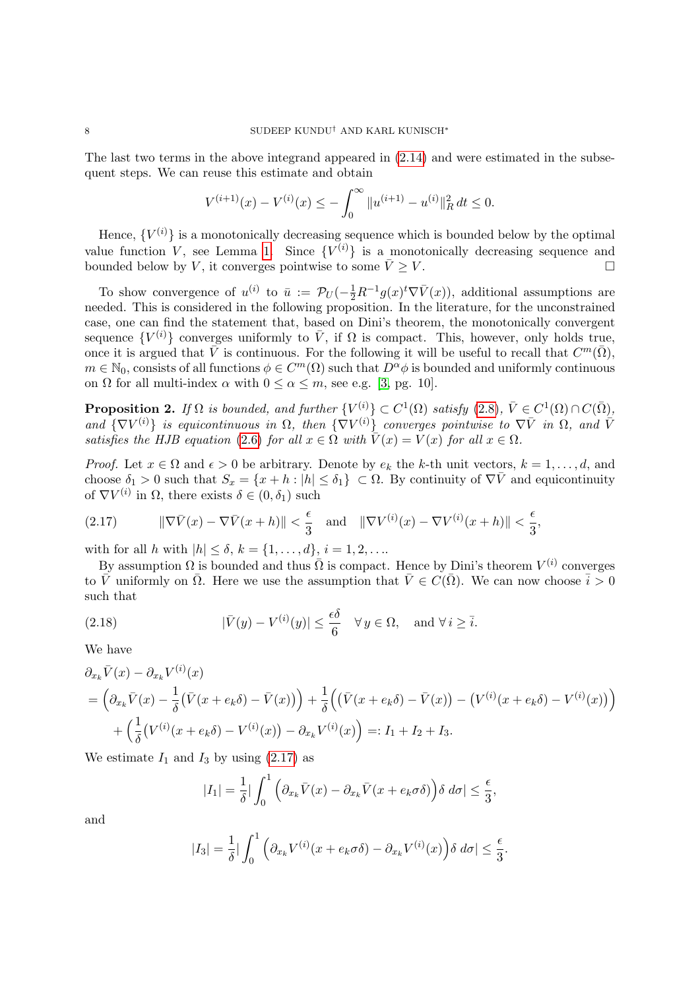The last two terms in the above integrand appeared in [\(2.14\)](#page-6-1) and were estimated in the subsequent steps. We can reuse this estimate and obtain

$$
V^{(i+1)}(x) - V^{(i)}(x) \le -\int_0^\infty \|u^{(i+1)} - u^{(i)}\|_R^2 dt \le 0.
$$

Hence,  ${V^{(i)}}$  is a monotonically decreasing sequence which is bounded below by the optimal value function V, see Lemma [1.](#page-4-5) Since  ${V^{(i)}}$  is a monotonically decreasing sequence and bounded below by V, it converges pointwise to some  $\bar{V} > V$ .

To show convergence of  $u^{(i)}$  to  $\bar{u} := \mathcal{P}_U(-\frac{1}{2}R^{-1}g(x)^t\nabla \bar{V}(x))$ , additional assumptions are needed. This is considered in the following proposition. In the literature, for the unconstrained case, one can find the statement that, based on Dini's theorem, the monotonically convergent sequence  $\{V^{(i)}\}$  converges uniformly to  $\bar{V}$ , if  $\Omega$  is compact. This, however, only holds true, once it is argued that  $\bar{V}$  is continuous. For the following it will be useful to recall that  $C^m(\bar{\Omega})$ ,  $m \in \mathbb{N}_0$ , consists of all functions  $\phi \in C^m(\Omega)$  such that  $D^{\alpha}\phi$  is bounded and uniformly continuous on  $\Omega$  for all multi-index  $\alpha$  with  $0 \leq \alpha \leq m$ , see e.g. [\[3,](#page-20-26) pg. 10].

<span id="page-7-2"></span>**Proposition 2.** If  $\Omega$  is bounded, and further  $\{V^{(i)}\} \subset C^1(\Omega)$  satisfy  $(2.8)$ ,  $\overline{V} \in C^1(\Omega) \cap C(\overline{\Omega})$ , and  $\{\nabla V^{(i)}\}\$ is equicontinuous in  $\Omega$ , then  $\{\nabla V^{(i)}\}\$  converges pointwise to  $\nabla \bar{V}$  in  $\Omega$ , and  $\bar{V}$ satisfies the HJB equation [\(2.6\)](#page-3-3) for all  $x \in \Omega$  with  $\overline{V}(x) = V(x)$  for all  $x \in \Omega$ .

*Proof.* Let  $x \in \Omega$  and  $\epsilon > 0$  be arbitrary. Denote by  $e_k$  the k-th unit vectors,  $k = 1, \ldots, d$ , and choose  $\delta_1 > 0$  such that  $S_x = \{x + h : |h| \leq \delta_1\} \subset \Omega$ . By continuity of  $\nabla \overline{V}$  and equicontinuity of  $\nabla V^{(i)}$  in  $\Omega$ , there exists  $\delta \in (0, \delta_1)$  such

<span id="page-7-0"></span>(2.17) 
$$
\|\nabla \bar{V}(x) - \nabla \bar{V}(x+h)\| < \frac{\epsilon}{3} \quad \text{and} \quad \|\nabla V^{(i)}(x) - \nabla V^{(i)}(x+h)\| < \frac{\epsilon}{3},
$$

with for all h with  $|h| \le \delta, k = \{1, ..., d\}, i = 1, 2, ...$ 

By assumption  $\Omega$  is bounded and thus  $\overline{\Omega}$  is compact. Hence by Dini's theorem  $V^{(i)}$  converges to  $\bar{V}$  uniformly on  $\bar{\Omega}$ . Here we use the assumption that  $\bar{V} \in C(\bar{\Omega})$ . We can now choose  $\bar{i} > 0$ such that

<span id="page-7-1"></span>(2.18) 
$$
|\bar{V}(y) - V^{(i)}(y)| \leq \frac{\epsilon \delta}{6} \quad \forall y \in \Omega, \text{ and } \forall i \geq \overline{i}.
$$

We have

$$
\partial_{x_k} \bar{V}(x) - \partial_{x_k} V^{(i)}(x) \n= \left( \partial_{x_k} \bar{V}(x) - \frac{1}{\delta} (\bar{V}(x + e_k \delta) - \bar{V}(x)) \right) + \frac{1}{\delta} \left( (\bar{V}(x + e_k \delta) - \bar{V}(x)) - (V^{(i)}(x + e_k \delta) - V^{(i)}(x)) \right) \n+ \left( \frac{1}{\delta} (V^{(i)}(x + e_k \delta) - V^{(i)}(x)) - \partial_{x_k} V^{(i)}(x) \right) =: I_1 + I_2 + I_3.
$$

We estimate  $I_1$  and  $I_3$  by using [\(2.17\)](#page-7-0) as

$$
|I_1| = \frac{1}{\delta} \Big| \int_0^1 \Big( \partial_{x_k} \bar{V}(x) - \partial_{x_k} \bar{V}(x + e_k \sigma \delta) \Big) \delta \ d\sigma \Big| \le \frac{\epsilon}{3},
$$

and

$$
|I_3| = \frac{1}{\delta} \left| \int_0^1 \left( \partial_{x_k} V^{(i)}(x + e_k \sigma \delta) - \partial_{x_k} V^{(i)}(x) \right) \delta \, d\sigma \right| \le \frac{\epsilon}{3}.
$$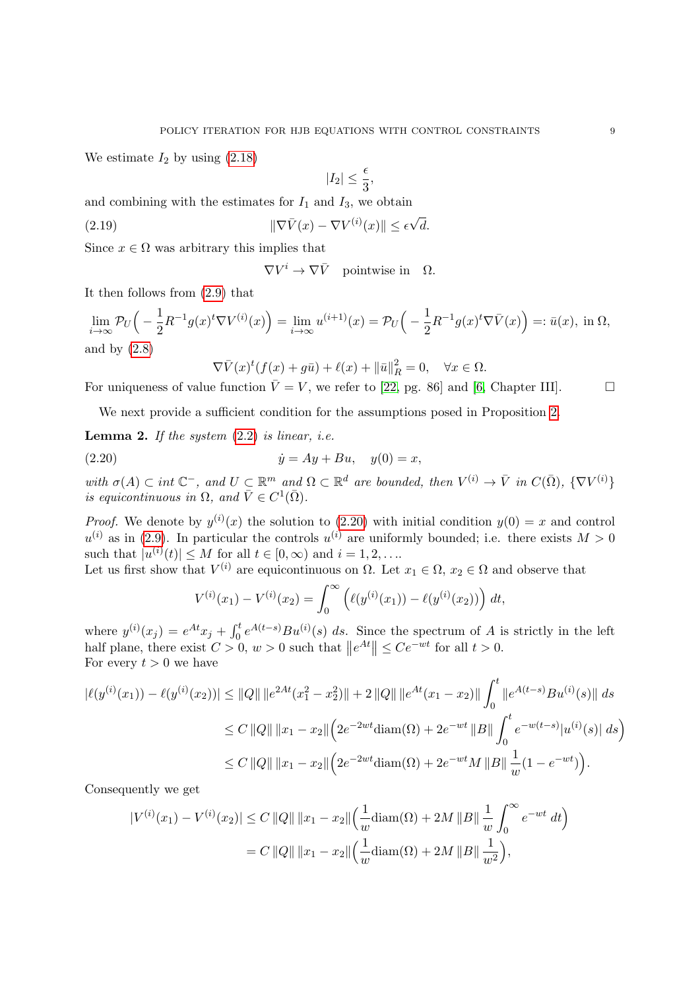We estimate  $I_2$  by using  $(2.18)$ 

$$
|I_2|\leq \frac{\epsilon}{3},
$$

and combining with the estimates for  $I_1$  and  $I_3$ , we obtain

(2.19) 
$$
\|\nabla \bar{V}(x) - \nabla V^{(i)}(x)\| \leq \epsilon \sqrt{d}.
$$

Since  $x \in \Omega$  was arbitrary this implies that

 $\nabla V^i \to \nabla \bar{V}$  pointwise in  $\Omega$ .

It then follows from [\(2.9\)](#page-4-6) that

$$
\lim_{i \to \infty} \mathcal{P}_U \Big( -\frac{1}{2} R^{-1} g(x)^t \nabla V^{(i)}(x) \Big) = \lim_{i \to \infty} u^{(i+1)}(x) = \mathcal{P}_U \Big( -\frac{1}{2} R^{-1} g(x)^t \nabla \bar{V}(x) \Big) =: \bar{u}(x), \text{ in } \Omega,
$$
  
and by (2.8)

<span id="page-8-0"></span>
$$
\nabla \bar{V}(x)^t (f(x) + g\bar{u}) + \ell(x) + ||\bar{u}||_R^2 = 0, \quad \forall x \in \Omega.
$$

For uniqueness of value function  $\overline{V} = V$ , we refer to [\[22,](#page-20-23) pg. 86] and [\[6,](#page-20-22) Chapter III].

We next provide a sufficient condition for the assumptions posed in Proposition [2.](#page-7-2)

**Lemma 2.** If the system  $(2.2)$  is linear, i.e.

(2.20) 
$$
\dot{y} = Ay + Bu, \quad y(0) = x,
$$

with  $\sigma(A) \subset int \mathbb{C}^-$ , and  $U \subset \mathbb{R}^m$  and  $\Omega \subset \mathbb{R}^d$  are bounded, then  $V^{(i)} \to \overline{V}$  in  $C(\overline{\Omega})$ ,  $\{\nabla V^{(i)}\}$ is equicontinuous in  $\Omega$ , and  $\overline{V} \in C^1(\overline{\Omega})$ .

*Proof.* We denote by  $y^{(i)}(x)$  the solution to [\(2.20\)](#page-8-0) with initial condition  $y(0) = x$  and control  $u^{(i)}$  as in [\(2.9\)](#page-4-6). In particular the controls  $u^{(i)}$  are uniformly bounded; i.e. there exists  $M > 0$ such that  $|u^{(i)}(t)| \leq M$  for all  $t \in [0, \infty)$  and  $i = 1, 2, \ldots$ 

Let us first show that  $V^{(i)}$  are equicontinuous on  $\Omega$ . Let  $x_1 \in \Omega$ ,  $x_2 \in \Omega$  and observe that

$$
V^{(i)}(x_1) - V^{(i)}(x_2) = \int_0^\infty \left( \ell(y^{(i)}(x_1)) - \ell(y^{(i)}(x_2)) \right) dt,
$$

where  $y^{(i)}(x_j) = e^{At}x_j + \int_0^t e^{A(t-s)}Bu^{(i)}(s) ds$ . Since the spectrum of A is strictly in the left half plane, there exist  $C > 0$ ,  $w > 0$  such that  $||e^{At}|| \le Ce^{-wt}$  for all  $t > 0$ . For every  $t > 0$  we have

$$
|\ell(y^{(i)}(x_1)) - \ell(y^{(i)}(x_2))| \le ||Q|| \, ||e^{2At}(x_1^2 - x_2^2)|| + 2 \, ||Q|| \, ||e^{At}(x_1 - x_2)|| \int_0^t ||e^{A(t-s)}Bu^{(i)}(s)|| \, ds
$$
  
\n
$$
\le C \, ||Q|| \, ||x_1 - x_2|| \Big( 2e^{-2wt} \text{diam}(\Omega) + 2e^{-wt} \, ||B|| \int_0^t e^{-w(t-s)} |u^{(i)}(s)| \, ds \Big)
$$
  
\n
$$
\le C \, ||Q|| \, ||x_1 - x_2|| \Big( 2e^{-2wt} \text{diam}(\Omega) + 2e^{-wt} M \, ||B|| \, \frac{1}{w} (1 - e^{-wt}) \Big).
$$

Consequently we get

$$
|V^{(i)}(x_1) - V^{(i)}(x_2)| \le C ||Q|| ||x_1 - x_2|| \left(\frac{1}{w} \operatorname{diam}(\Omega) + 2M ||B|| \frac{1}{w} \int_0^\infty e^{-wt} dt\right)
$$
  
= C ||Q|| ||x\_1 - x\_2|| \left(\frac{1}{w} \operatorname{diam}(\Omega) + 2M ||B|| \frac{1}{w^2}\right),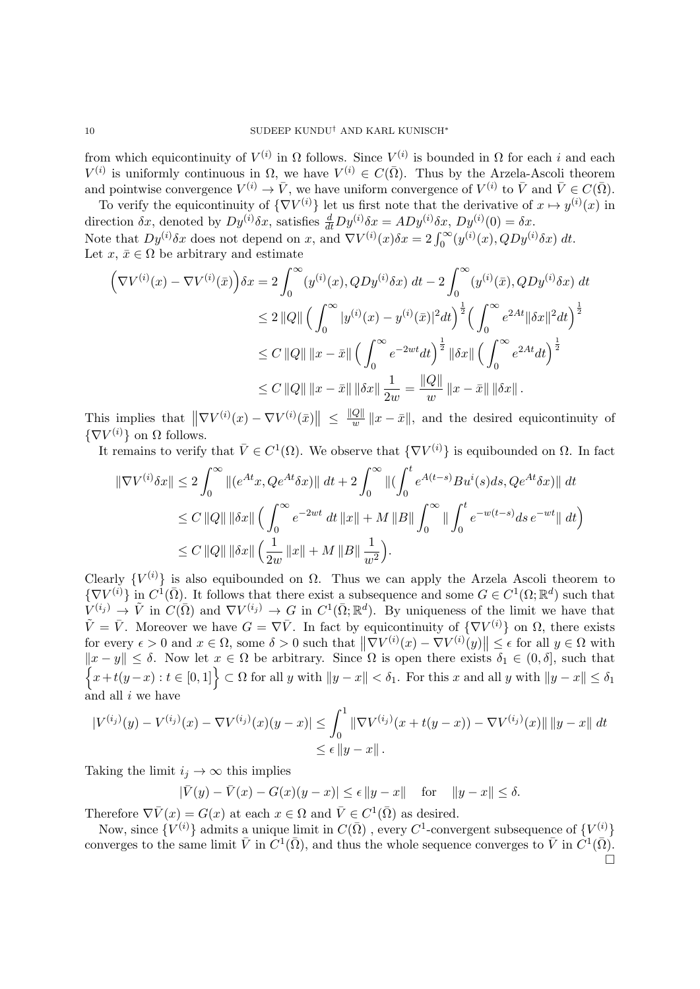from which equicontinuity of  $V^{(i)}$  in  $\Omega$  follows. Since  $V^{(i)}$  is bounded in  $\Omega$  for each i and each  $V^{(i)}$  is uniformly continuous in  $\Omega$ , we have  $V^{(i)} \in C(\overline{\Omega})$ . Thus by the Arzela-Ascoli theorem and pointwise convergence  $V^{(i)} \to \bar{V}$ , we have uniform convergence of  $V^{(i)}$  to  $\bar{V}$  and  $\bar{V} \in C(\bar{\Omega})$ .

To verify the equicontinuity of  $\{\nabla V^{(i)}\}$  let us first note that the derivative of  $x \mapsto y^{(i)}(x)$  in direction  $\delta x$ , denoted by  $Dy^{(i)}\delta x$ , satisfies  $\frac{d}{dt}Dy^{(i)}\delta x = ADy^{(i)}\delta x$ ,  $Dy^{(i)}(0) = \delta x$ . Note that  $Dy^{(i)}\delta x$  does not depend on x, and  $\nabla V^{(i)}(x)\delta x = 2\int_0^\infty (y^{(i)}(x), QDy^{(i)}\delta x) dt$ . Let  $x, \bar{x} \in \Omega$  be arbitrary and estimate

$$
\left(\nabla V^{(i)}(x) - \nabla V^{(i)}(\bar{x})\right)\delta x = 2 \int_0^\infty (y^{(i)}(x), QDy^{(i)}\delta x) dt - 2 \int_0^\infty (y^{(i)}(\bar{x}), QDy^{(i)}\delta x) dt
$$
  
\n
$$
\leq 2 ||Q|| \left(\int_0^\infty |y^{(i)}(x) - y^{(i)}(\bar{x})|^2 dt\right)^{\frac{1}{2}} \left(\int_0^\infty e^{2At} ||\delta x||^2 dt\right)^{\frac{1}{2}}
$$
  
\n
$$
\leq C ||Q|| ||x - \bar{x}|| \left(\int_0^\infty e^{-2wt} dt\right)^{\frac{1}{2}} ||\delta x|| \left(\int_0^\infty e^{2At} dt\right)^{\frac{1}{2}}
$$
  
\n
$$
\leq C ||Q|| ||x - \bar{x}|| ||\delta x|| \frac{1}{2w} = \frac{||Q||}{w} ||x - \bar{x}|| ||\delta x||.
$$

This implies that  $\|\nabla V^{(i)}(x) - \nabla V^{(i)}(\bar{x})\| \leq \frac{\|Q\|}{w}$  $\frac{Q_{\parallel}}{w}$  ||  $x - \bar{x}$ ||, and the desired equicontinuity of  $\{\nabla V^{(i)}\}$  on  $\Omega$  follows.

It remains to verify that  $\bar{V} \in C^1(\Omega)$ . We observe that  $\{\nabla V^{(i)}\}$  is equibounded on  $\Omega$ . In fact

$$
\|\nabla V^{(i)}\delta x\| \le 2\int_0^\infty \|(e^{At}x, Qe^{At}\delta x)\| \, dt + 2\int_0^\infty \|(\int_0^t e^{A(t-s)}Bu^i(s)ds, Qe^{At}\delta x)\| \, dt
$$
  
\n
$$
\le C \|Q\| \|\delta x\| \left(\int_0^\infty e^{-2wt} \, dt \, \|x\| + M \|B\| \int_0^\infty \| \int_0^t e^{-w(t-s)} ds \, e^{-wt} \| \, dt\right)
$$
  
\n
$$
\le C \|Q\| \|\delta x\| \left(\frac{1}{2w} \|x\| + M \|B\| \frac{1}{w^2}\right).
$$

Clearly  $\{V^{(i)}\}$  is also equibounded on  $\Omega$ . Thus we can apply the Arzela Ascoli theorem to  $\{\nabla V^{(i)}\}$  in  $C^{\hat{1}}(\bar{\Omega})$ . It follows that there exist a subsequence and some  $G \in C^1(\Omega;\mathbb{R}^d)$  such that  $V^{(i_j)} \to \tilde{V}$  in  $C(\bar{\Omega})$  and  $\nabla V^{(i_j)} \to G$  in  $C^1(\bar{\Omega}; \mathbb{R}^d)$ . By uniqueness of the limit we have that  $\tilde{V} = \bar{V}$ . Moreover we have  $G = \nabla \bar{V}$ . In fact by equicontinuity of  $\{\nabla V^{(i)}\}$  on  $\Omega$ , there exists for every  $\epsilon > 0$  and  $x \in \Omega$ , some  $\delta > 0$  such that  $\|\nabla V^{(i)}(x) - \nabla V^{(i)}(y)\| \leq \epsilon$  for all  $y \in \Omega$  with  $||x - y|| \leq \delta$ . Now let  $x \in \Omega$  be arbitrary. Since  $\Omega$  is open there exists  $\delta_1 \in (0, \delta]$ , such that  $\{x+t(y-x): t\in [0,1]\}\subset \Omega$  for all y with  $||y-x||<\delta_1$ . For this x and all y with  $||y-x||\leq \delta_1$ and all  $i$  we have

$$
|V^{(i_j)}(y) - V^{(i_j)}(x) - \nabla V^{(i_j)}(x)(y - x)| \le \int_0^1 \|\nabla V^{(i_j)}(x + t(y - x)) - \nabla V^{(i_j)}(x)\| \|y - x\| \, dt
$$
  
\$\le \epsilon \, \|y - x\|\$.

Taking the limit  $i_j \to \infty$  this implies

$$
|\bar{V}(y) - \bar{V}(x) - G(x)(y - x)| \le \epsilon ||y - x|| \quad \text{for} \quad ||y - x|| \le \delta.
$$

Therefore  $\nabla \bar{V}(x) = G(x)$  at each  $x \in \Omega$  and  $\bar{V} \in C^1(\bar{\Omega})$  as desired.

Now, since  ${V^{(i)}}$  admits a unique limit in  $C(\bar{\Omega})$ , every  $C^1$ -convergent subsequence of  ${V^{(i)}}$ converges to the same limit  $\bar{V}$  in  $\tilde{C}^1(\bar{\Omega})$ , and thus the whole sequence converges to  $\bar{V}$  in  $\tilde{C}^1(\bar{\Omega})$ .  $\Box$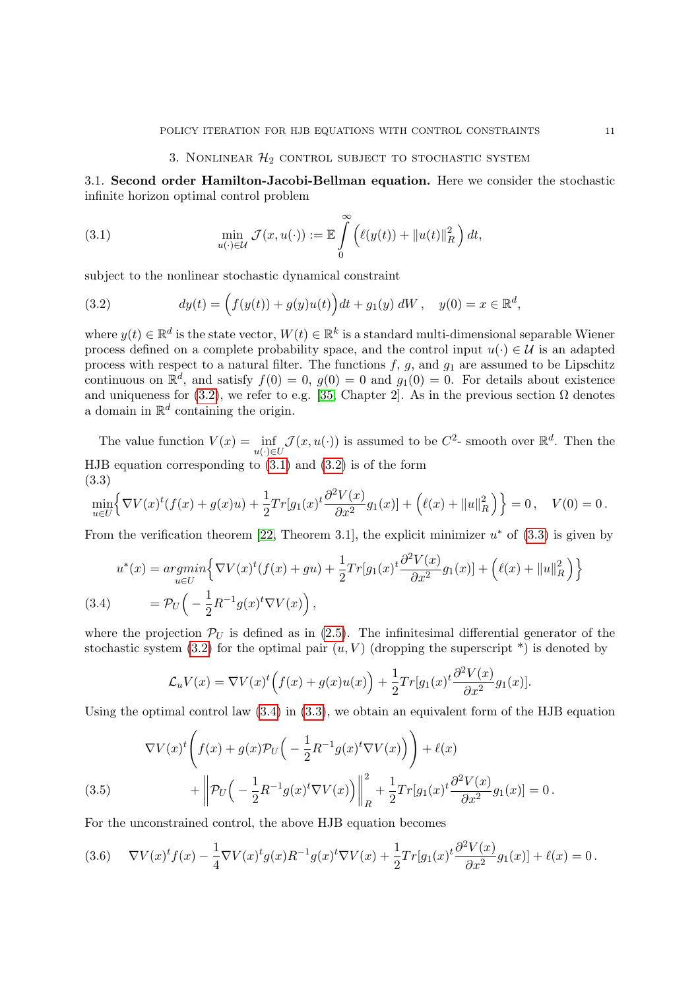3.1. Second order Hamilton-Jacobi-Bellman equation. Here we consider the stochastic infinite horizon optimal control problem

<span id="page-10-1"></span>(3.1) 
$$
\min_{u(\cdot)\in\mathcal{U}}\mathcal{J}(x,u(\cdot)):=\mathbb{E}\int_{0}^{\infty}\left(\ell(y(t))+\|u(t)\|_{R}^{2}\right)dt,
$$

subject to the nonlinear stochastic dynamical constraint

<span id="page-10-0"></span>(3.2) 
$$
dy(t) = (f(y(t)) + g(y)u(t))dt + g_1(y) dW, \quad y(0) = x \in \mathbb{R}^d,
$$

where  $y(t) \in \mathbb{R}^d$  is the state vector,  $W(t) \in \mathbb{R}^k$  is a standard multi-dimensional separable Wiener process defined on a complete probability space, and the control input  $u(\cdot) \in \mathcal{U}$  is an adapted process with respect to a natural filter. The functions  $f, g$ , and  $g_1$  are assumed to be Lipschitz continuous on  $\mathbb{R}^d$ , and satisfy  $f(0) = 0$ ,  $g(0) = 0$  and  $g_1(0) = 0$ . For details about existence and uniqueness for [\(3.2\)](#page-10-0), we refer to e.g. [\[35,](#page-21-11) Chapter 2]. As in the previous section  $\Omega$  denotes a domain in  $\mathbb{R}^d$  containing the origin.

The value function  $V(x) = \inf_{u(\cdot) \in U} \mathcal{J}(x, u(\cdot))$  is assumed to be  $C^2$ - smooth over  $\mathbb{R}^d$ . Then the HJB equation corresponding to [\(3.1\)](#page-10-1) and [\(3.2\)](#page-10-0) is of the form (3.3)

<span id="page-10-2"></span>
$$
\min_{u \in U} \left\{ \nabla V(x)^t (f(x) + g(x)u) + \frac{1}{2} Tr[g_1(x)^t \frac{\partial^2 V(x)}{\partial x^2} g_1(x)] + \left( \ell(x) + ||u||_R^2 \right) \right\} = 0, \quad V(0) = 0.
$$

From the verification theorem [\[22,](#page-20-23) Theorem 3.1], the explicit minimizer  $u^*$  of [\(3.3\)](#page-10-2) is given by

<span id="page-10-3"></span>
$$
u^*(x) = \underset{u \in U}{argmin} \Big\{ \nabla V(x)^t (f(x) + gu) + \frac{1}{2} Tr[g_1(x)^t \frac{\partial^2 V(x)}{\partial x^2} g_1(x)] + \Big( \ell(x) + ||u||_R^2 \Big) \Big\}
$$
\n(3.4) 
$$
= \mathcal{P}_U \Big( -\frac{1}{2} R^{-1} g(x)^t \nabla V(x) \Big),
$$

where the projection  $\mathcal{P}_U$  is defined as in [\(2.5\)](#page-3-1). The infinitesimal differential generator of the stochastic system [\(3.2\)](#page-10-0) for the optimal pair  $(u, V)$  (dropping the superscript  $*)$  is denoted by

$$
\mathcal{L}_u V(x) = \nabla V(x)^t \Big( f(x) + g(x)u(x) \Big) + \frac{1}{2} Tr[g_1(x)^t \frac{\partial^2 V(x)}{\partial x^2} g_1(x)].
$$

Using the optimal control law  $(3.4)$  in  $(3.3)$ , we obtain an equivalent form of the HJB equation

(3.5) 
$$
\nabla V(x)^t \left( f(x) + g(x) \mathcal{P}_U \left( -\frac{1}{2} R^{-1} g(x)^t \nabla V(x) \right) \right) + \ell(x) + \left\| \mathcal{P}_U \left( -\frac{1}{2} R^{-1} g(x)^t \nabla V(x) \right) \right\|_R^2 + \frac{1}{2} Tr[g_1(x)^t \frac{\partial^2 V(x)}{\partial x^2} g_1(x)] = 0.
$$

<span id="page-10-4"></span>For the unconstrained control, the above HJB equation becomes

(3.6) 
$$
\nabla V(x)^t f(x) - \frac{1}{4} \nabla V(x)^t g(x) R^{-1} g(x)^t \nabla V(x) + \frac{1}{2} Tr[g_1(x)^t \frac{\partial^2 V(x)}{\partial x^2} g_1(x)] + \ell(x) = 0.
$$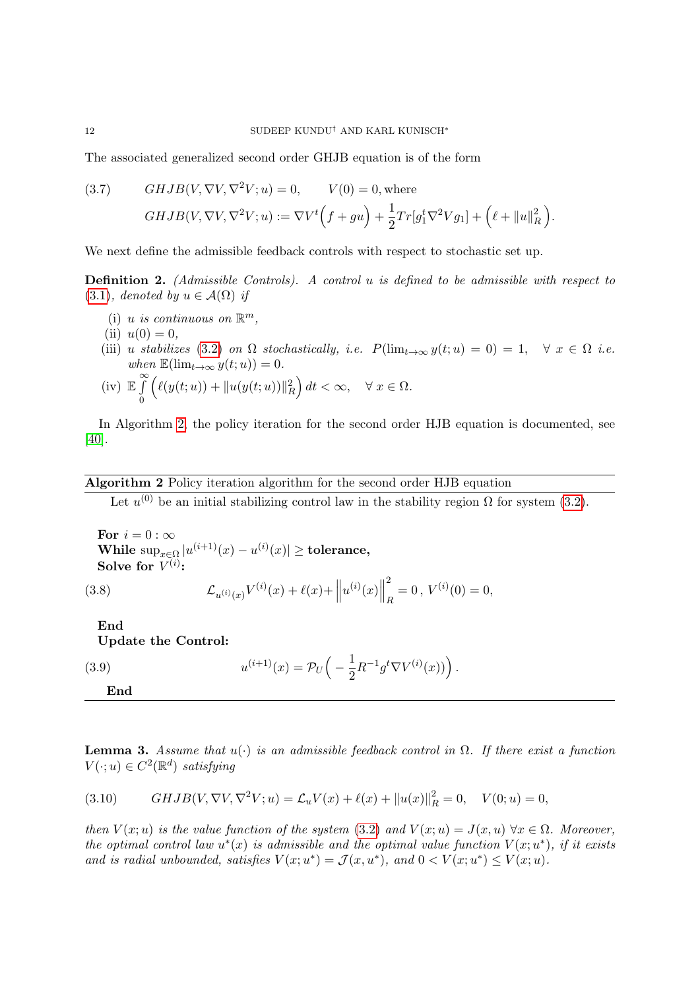The associated generalized second order GHJB equation is of the form

(3.7) *GHJB*(*V*, 
$$
\nabla V
$$
,  $\nabla^2 V$ ; *u*) = 0, *V*(0) = 0, where  
\n*GHJB*(*V*,  $\nabla V$ ,  $\nabla^2 V$ ; *u*) :=  $\nabla V^t (f + gu) + \frac{1}{2} Tr[g_1^t \nabla^2 V g_1] + (l + ||u||_R^2).$ 

We next define the admissible feedback controls with respect to stochastic set up.

<span id="page-11-1"></span>Definition 2. (Admissible Controls). A control u is defined to be admissible with respect to [\(3.1\)](#page-10-1), denoted by  $u \in \mathcal{A}(\Omega)$  if

- (i) u is continuous on  $\mathbb{R}^m$ ,
- (ii)  $u(0) = 0$ ,
- (iii) u stabilizes [\(3.2\)](#page-10-0) on  $\Omega$  stochastically, i.e.  $P(\lim_{t\to\infty} y(t; u) = 0) = 1, \quad \forall x \in \Omega$  i.e. when  $\mathbb{E}(\lim_{t\to\infty}y(t;u))=0.$

(iv) 
$$
\mathbb{E}\int_{0}^{\infty} \left(\ell(y(t;u)) + ||u(y(t;u))||_{R}^{2}\right)dt < \infty, \quad \forall x \in \Omega.
$$

In Algorithm [2,](#page-11-0) the policy iteration for the second order HJB equation is documented, see [\[40\]](#page-21-6).

## <span id="page-11-0"></span>Algorithm 2 Policy iteration algorithm for the second order HJB equation

Let  $u^{(0)}$  be an initial stabilizing control law in the stability region  $\Omega$  for system [\(3.2\)](#page-10-0).

For  $i = 0 : \infty$ While  $\sup_{x\in\Omega}|u^{(i+1)}(x)-u^{(i)}(x)|\geq \text{tolerance},$ Solve for  $V^{(i)}$ :

<span id="page-11-3"></span>(3.8) 
$$
\mathcal{L}_{u^{(i)}(x)}V^{(i)}(x) + \ell(x) + ||u^{(i)}(x)||_R^2 = 0, V^{(i)}(0) = 0,
$$

End Update the Control:

<span id="page-11-2"></span>End

(3.9) 
$$
u^{(i+1)}(x) = \mathcal{P}_U\left(-\frac{1}{2}R^{-1}g^t\nabla V^{(i)}(x))\right).
$$

**Lemma 3.** Assume that  $u(\cdot)$  is an admissible feedback control in  $\Omega$ . If there exist a function  $V(\cdot; u) \in C^2(\mathbb{R}^d)$  satisfying

(3.10) 
$$
GHJB(V, \nabla V, \nabla^2 V; u) = \mathcal{L}_u V(x) + \ell(x) + ||u(x)||_R^2 = 0, \quad V(0; u) = 0,
$$

then  $V(x; u)$  is the value function of the system [\(3.2\)](#page-10-0) and  $V(x; u) = J(x, u) \,\forall x \in \Omega$ . Moreover, the optimal control law  $u^*(x)$  is admissible and the optimal value function  $V(x;u^*)$ , if it exists and is radial unbounded, satisfies  $V(x; u^*) = \mathcal{J}(x, u^*)$ , and  $0 < V(x; u^*) \leq V(x; u)$ .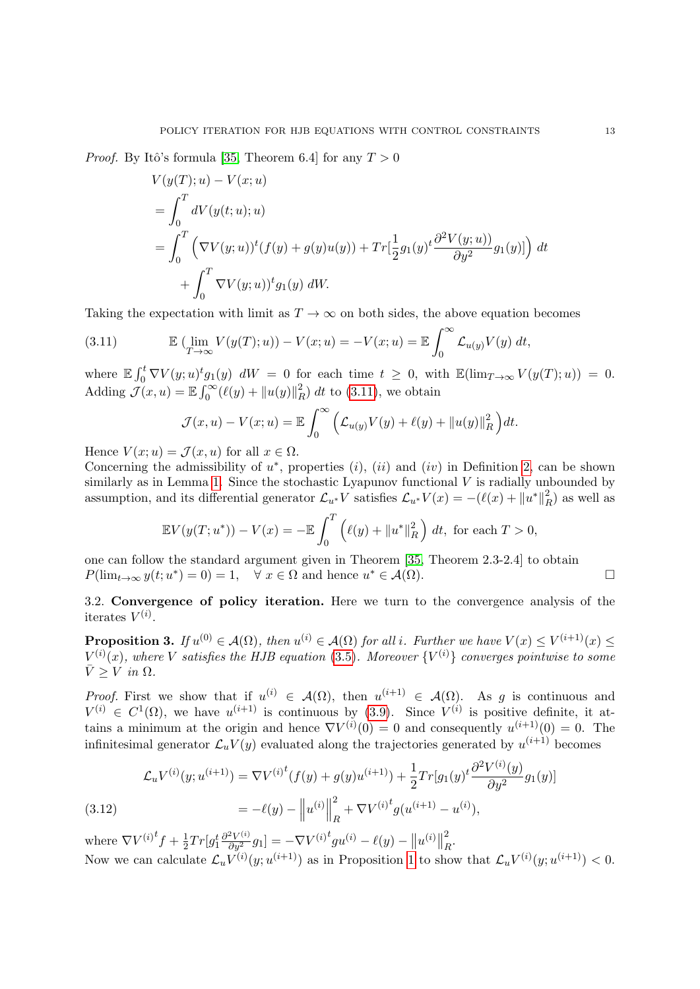*Proof.* By Itô's formula [\[35,](#page-21-11) Theorem 6.4] for any  $T > 0$ 

$$
V(y(T); u) - V(x; u)
$$
  
=  $\int_0^T dV(y(t; u); u)$   
=  $\int_0^T (\nabla V(y; u))^t (f(y) + g(y)u(y)) + Tr[\frac{1}{2}g_1(y)^t \frac{\partial^2 V(y; u)}{\partial y^2} g_1(y)] dt$   
+  $\int_0^T \nabla V(y; u))^t g_1(y) dW.$ 

Taking the expectation with limit as  $T \to \infty$  on both sides, the above equation becomes

<span id="page-12-0"></span>(3.11) 
$$
\mathbb{E} \left( \lim_{T \to \infty} V(y(T); u) \right) - V(x; u) = -V(x; u) = \mathbb{E} \int_0^\infty \mathcal{L}_{u(y)} V(y) dt,
$$

where  $\mathbb{E} \int_0^t \nabla V(y; u)^t g_1(y) dW = 0$  for each time  $t \geq 0$ , with  $\mathbb{E}(\lim_{T \to \infty} V(y(T); u)) = 0$ . Adding  $\mathcal{J}(x, u) = \mathbb{E} \int_0^\infty (\ell(y) + ||u(y)||_F^2)$  $_R^2$ ) dt to [\(3.11\)](#page-12-0), we obtain

$$
\mathcal{J}(x, u) - V(x; u) = \mathbb{E} \int_0^\infty \left( \mathcal{L}_{u(y)} V(y) + \ell(y) + ||u(y)||_R^2 \right) dt.
$$

Hence  $V(x; u) = \mathcal{J}(x, u)$  for all  $x \in \Omega$ .

Concerning the admissibility of  $u^*$ , properties  $(i)$ ,  $(ii)$  and  $(iv)$  in Definition [2,](#page-11-1) can be shown similarly as in Lemma [1.](#page-4-5) Since the stochastic Lyapunov functional  $V$  is radially unbounded by assumption, and its differential generator  $\mathcal{L}_{u^*} V$  satisfies  $\mathcal{L}_{u^*} V(x) = -(\ell(x) + ||u^*||_F^2)$  $R$ ) as well as

$$
\mathbb{E}V(y(T;u^*)) - V(x) = -\mathbb{E}\int_0^T \left(\ell(y) + \|u^*\|_R^2\right) dt, \text{ for each } T > 0,
$$

one can follow the standard argument given in Theorem [\[35,](#page-21-11) Theorem 2.3-2.4] to obtain  $P(\lim_{t\to\infty} y(t;u^*)=0)=1, \quad \forall \ x\in\Omega \text{ and hence } u^*\in\mathcal{A}(\Omega).$ 

3.2. Convergence of policy iteration. Here we turn to the convergence analysis of the iterates  $V^{(i)}$ .

**Proposition 3.** If  $u^{(0)} \in A(\Omega)$ , then  $u^{(i)} \in A(\Omega)$  for all i. Further we have  $V(x) \leq V^{(i+1)}(x) \leq$  $V^{(i)}(x)$ , where V satisfies the HJB equation [\(3.5\)](#page-10-4). Moreover  $\{V^{(i)}\}$  converges pointwise to some  $\bar{V} > V$  in  $\Omega$ .

*Proof.* First we show that if  $u^{(i)} \in A(\Omega)$ , then  $u^{(i+1)} \in A(\Omega)$ . As g is continuous and  $V^{(i)} \in C^1(\Omega)$ , we have  $u^{(i+1)}$  is continuous by [\(3.9\)](#page-11-2). Since  $V^{(i)}$  is positive definite, it attains a minimum at the origin and hence  $\nabla V^{(i)}(0) = 0$  and consequently  $u^{(i+1)}(0) = 0$ . The infinitesimal generator  $\mathcal{L}_u V(y)$  evaluated along the trajectories generated by  $u^{(i+1)}$  becomes

(3.12) 
$$
\mathcal{L}_u V^{(i)}(y; u^{(i+1)}) = \nabla V^{(i)^t} (f(y) + g(y) u^{(i+1)}) + \frac{1}{2} Tr[g_1(y)^t \frac{\partial^2 V^{(i)}(y)}{\partial y^2} g_1(y)]
$$

$$
= -\ell(y) - ||u^{(i)}||_R^2 + \nabla V^{(i)^t} g(u^{(i+1)} - u^{(i)}),
$$

where  $\nabla V^{(i)}{}^t f + \frac{1}{2}$  $\frac{1}{2} Tr [g_1^t \frac{\partial^2 V^{(i)}}{\partial y_{\cdot}^2} g_1] = - \nabla V^{(i)\, t} g u^{(i)} - \ell(y) - \big\| u^{(i)} \big\|$ 2  $\frac{2}{R}$ . Now we can calculate  $\mathcal{L}_u V^{(i)}(y; u^{(i+1)})$  as in Proposition [1](#page-5-1) to show that  $\mathcal{L}_u V^{(i)}(y; u^{(i+1)}) < 0$ .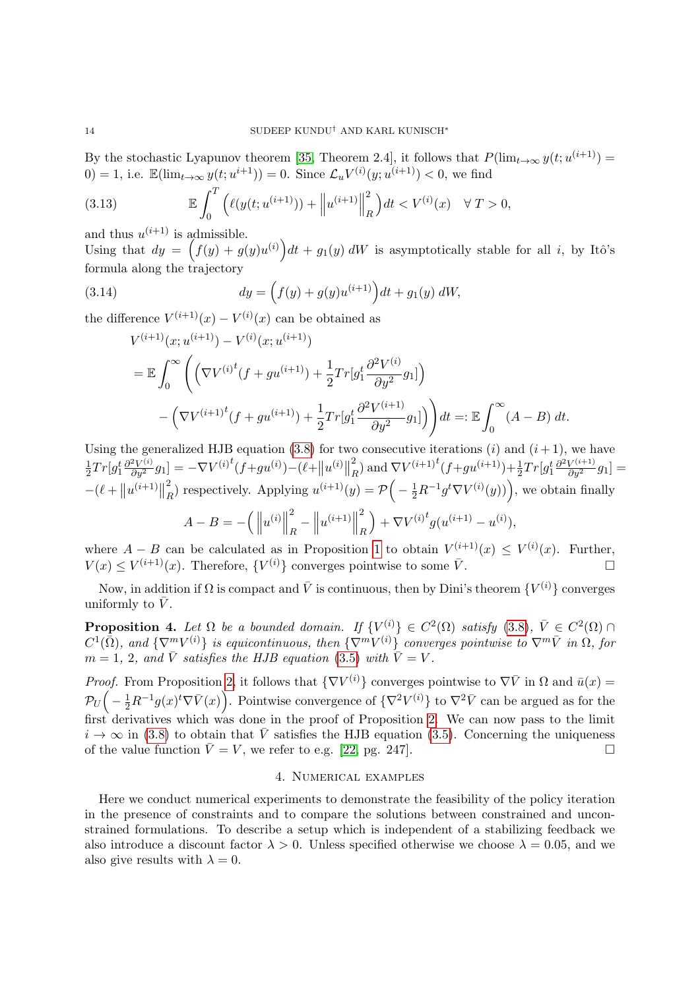By the stochastic Lyapunov theorem [\[35,](#page-21-11) Theorem 2.4], it follows that  $P(\lim_{t\to\infty} y(t; u^{(i+1)}) =$ 0) = 1, i.e.  $\mathbb{E}(\lim_{t\to\infty}y(t;u^{i+1}))=0$ . Since  $\mathcal{L}_uV^{(i)}(y;u^{(i+1)})<0$ , we find

(3.13) 
$$
\mathbb{E}\int_0^T \left( \ell(y(t;u^{(i+1)})) + \left\| u^{(i+1)} \right\|_R^2 \right) dt < V^{(i)}(x) \quad \forall \ T > 0,
$$

and thus  $u^{(i+1)}$  is admissible.

Using that  $dy = (f(y) + g(y)u^{(i)})dt + g_1(y) dW$  is asymptotically stable for all i, by Itô's formula along the trajectory

(3.14) 
$$
dy = \left(f(y) + g(y)u^{(i+1)}\right)dt + g_1(y) dW,
$$

the difference  $V^{(i+1)}(x) - V^{(i)}(x)$  can be obtained as

$$
V^{(i+1)}(x; u^{(i+1)}) - V^{(i)}(x; u^{(i+1)})
$$
  
=  $\mathbb{E} \int_0^{\infty} \left( \left( \nabla V^{(i)}(f + gu^{(i+1)}) + \frac{1}{2} Tr[g_1^t \frac{\partial^2 V^{(i)}}{\partial y^2} g_1] \right) - \left( \nabla V^{(i+1)}(f + gu^{(i+1)}) + \frac{1}{2} Tr[g_1^t \frac{\partial^2 V^{(i+1)}}{\partial y^2} g_1] \right) dt =: \mathbb{E} \int_0^{\infty} (A - B) dt.$ 

Using the generalized HJB equation [\(3.8\)](#page-11-3) for two consecutive iterations (i) and  $(i + 1)$ , we have 1  $\frac{1}{2}Tr[g_1^t \frac{\partial^2 V^{(i)}}{\partial y^2} g_1] = -\nabla V^{(i)t}(f+gu^{(i)}) - (\ell + ||u^{(i)}||)$ 2  ${}^{2}_{R}$ ) and  $\nabla V^{(i+1)}{}^{t}(f+gu^{(i+1)})+\frac{1}{2}Tr[g_1^{t}\frac{\partial^2 V^{(i+1)}}{\partial y^2}g_1]=$  $-(\ell + ||u^{(i+1)}||)$ 2  $\mathcal{L}_R^2$ ) respectively. Applying  $u^{(i+1)}(y) = \mathcal{P}\Big(-\frac{1}{2}R^{-1}g^t\nabla V^{(i)}(y)\Big)$ , we obtain finally  $A - B = -\left(\left\|\right\|$  $u^{(i)}\Big\|$ 2  $\frac{2}{R} - \Big\|$  $u^{(i+1)}$ 2 R  $+ \nabla V^{(i)\stackrel{t}{\smash{f}}} g(u^{(i+1)} - u^{(i)}),$ 

where  $A - B$  can be calculated as in Proposition [1](#page-5-1) to obtain  $V^{(i+1)}(x) \leq V^{(i)}(x)$ . Further,  $V(x) \leq V^{(i+1)}(x)$ . Therefore,  $\{V^{(i)}\}$  converges pointwise to some  $\overline{V}$ .

Now, in addition if  $\Omega$  is compact and  $\bar{V}$  is continuous, then by Dini's theorem  $\{V^{(i)}\}$  converges uniformly to  $\bar{V}$ .

**Proposition 4.** Let  $\Omega$  be a bounded domain. If  $\{V^{(i)}\} \in C^2(\Omega)$  satisfy  $(3.8), \bar{V} \in C^2(\Omega) \cap$  $(3.8), \bar{V} \in C^2(\Omega) \cap$  $C^1(\bar{\Omega})$ , and  $\{\nabla^m V^{(i)}\}$  is equicontinuous, then  $\{\nabla^m V^{(i)}\}$  converges pointwise to  $\nabla^m \bar{V}$  in  $\Omega$ , for  $m = 1, 2, and \bar{V}$  satisfies the HJB equation [\(3.5\)](#page-10-4) with  $\bar{V} = V$ .

*Proof.* From Proposition [2,](#page-7-2) it follows that  $\{\nabla V^{(i)}\}$  converges pointwise to  $\nabla \bar{V}$  in  $\Omega$  and  $\bar{u}(x)$  $\mathcal{P}_U\Big(-\frac{1}{2}R^{-1}g(x)^t\nabla\bar{V}(x)\Big).$  Pointwise convergence of  $\{\nabla^2V^{(i)}\}$  to  $\nabla^2\bar{V}$  can be argued as for the first derivatives which was done in the proof of Proposition [2.](#page-7-2) We can now pass to the limit  $i \to \infty$  in [\(3.8\)](#page-11-3) to obtain that  $\overline{V}$  satisfies the HJB equation [\(3.5\)](#page-10-4). Concerning the uniqueness of the value function  $\bar{V} = V$ , we refer to e.g. [\[22,](#page-20-23) pg. 247].

### 4. Numerical examples

Here we conduct numerical experiments to demonstrate the feasibility of the policy iteration in the presence of constraints and to compare the solutions between constrained and unconstrained formulations. To describe a setup which is independent of a stabilizing feedback we also introduce a discount factor  $\lambda > 0$ . Unless specified otherwise we choose  $\lambda = 0.05$ , and we also give results with  $\lambda = 0$ .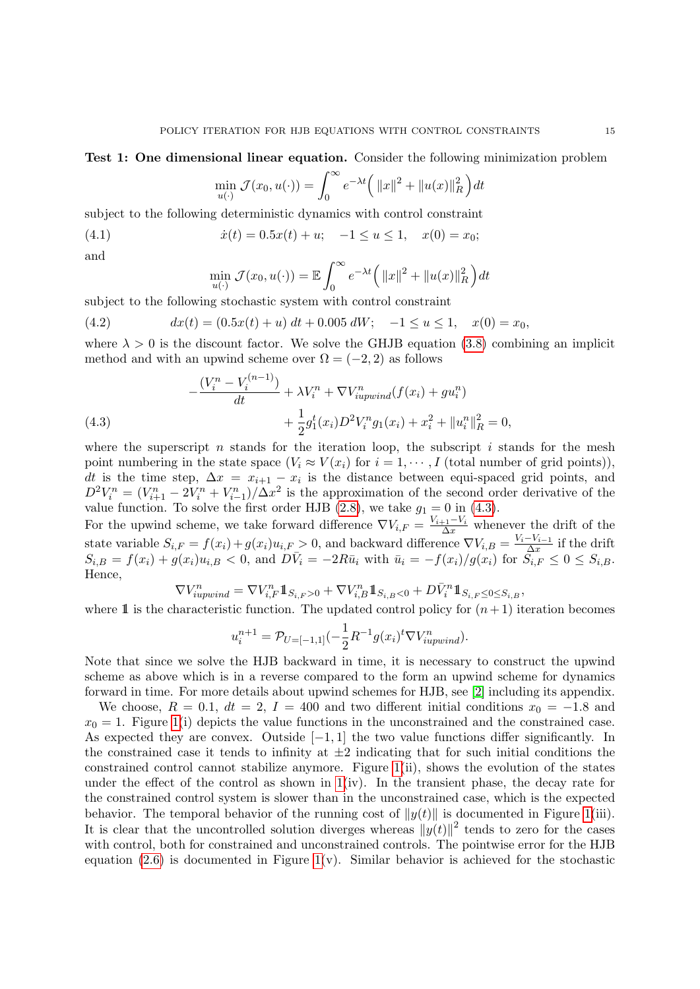#### Test 1: One dimensional linear equation. Consider the following minimization problem

$$
\min_{u(\cdot)} \mathcal{J}(x_0, u(\cdot)) = \int_0^\infty e^{-\lambda t} \left( ||x||^2 + ||u(x)||_R^2 \right) dt
$$

subject to the following deterministic dynamics with control constraint

(4.1) 
$$
\dot{x}(t) = 0.5x(t) + u; \quad -1 \le u \le 1, \quad x(0) = x_0;
$$

and

$$
\min_{u(\cdot)} \mathcal{J}(x_0, u(\cdot)) = \mathbb{E} \int_0^\infty e^{-\lambda t} \Big( ||x||^2 + ||u(x)||_R^2 \Big) dt
$$

subject to the following stochastic system with control constraint

(4.2) 
$$
dx(t) = (0.5x(t) + u) dt + 0.005 dW; -1 \le u \le 1, \quad x(0) = x_0,
$$

where  $\lambda > 0$  is the discount factor. We solve the GHJB equation [\(3.8\)](#page-11-3) combining an implicit method and with an upwind scheme over  $\Omega = (-2, 2)$  as follows

<span id="page-14-0"></span>(4.3) 
$$
-\frac{(V_i^n - V_i^{(n-1)})}{dt} + \lambda V_i^n + \nabla V_{iupwind}^n(f(x_i) + gu_i^n) + \frac{1}{2}g_1^t(x_i)D^2V_i^ng_1(x_i) + x_i^2 + ||u_i^n||_R^2 = 0,
$$

where the superscript n stands for the iteration loop, the subscript i stands for the mesh point numbering in the state space  $(V_i \approx V(x_i)$  for  $i = 1, \dots, I$  (total number of grid points)), dt is the time step,  $\Delta x = x_{i+1} - x_i$  is the distance between equi-spaced grid points, and  $D^2 V_i^n = (V_{i+1}^n - 2V_i^n + V_{i-1}^n)/\Delta x^2$  is the approximation of the second order derivative of the value function. To solve the first order HJB  $(2.8)$ , we take  $g_1 = 0$  in  $(4.3)$ .

For the upwind scheme, we take forward difference  $\nabla V_{i,F} = \frac{V_{i+1} - V_i}{\Delta x}$  whenever the drift of the state variable  $S_{i,F} = f(x_i) + g(x_i)u_{i,F} > 0$ , and backward difference  $\nabla V_{i,B} = \frac{V_i - V_{i-1}}{\Delta x}$  $\frac{-v_{i-1}}{\Delta x}$  if the drift  $S_{i,B} = f(x_i) + g(x_i)u_{i,B} < 0$ , and  $D\bar{V}_i = -2R\bar{u}_i$  with  $\bar{u}_i = -f(x_i)/g(x_i)$  for  $S_{i,F} \leq 0 \leq S_{i,B}$ . Hence,

$$
\nabla V_{iupwind}^n = \nabla V_{i,F}^n \mathbb{1}_{S_{i,F} > 0} + \nabla V_{i,B}^n \mathbb{1}_{S_{i,B} < 0} + D\bar{V}_i^n \mathbb{1}_{S_{i,F} \le 0 \le S_{i,B}},
$$

where 1 is the characteristic function. The updated control policy for  $(n+1)$  iteration becomes

$$
u_i^{n+1} = \mathcal{P}_{U=[-1,1]}(-\frac{1}{2}R^{-1}g(x_i)^t \nabla V_{iupwind}^n).
$$

Note that since we solve the HJB backward in time, it is necessary to construct the upwind scheme as above which is in a reverse compared to the form an upwind scheme for dynamics forward in time. For more details about upwind schemes for HJB, see [\[2\]](#page-20-21) including its appendix.

We choose,  $R = 0.1$ ,  $dt = 2$ ,  $I = 400$  and two different initial conditions  $x_0 = -1.8$  and  $x_0 = 1$ . Figure [1\(](#page-16-0)i) depicts the value functions in the unconstrained and the constrained case. As expected they are convex. Outside  $[-1, 1]$  the two value functions differ significantly. In the constrained case it tends to infinity at  $\pm 2$  indicating that for such initial conditions the constrained control cannot stabilize anymore. Figure [1\(](#page-16-0)ii), shows the evolution of the states under the effect of the control as shown in  $1(iv)$ . In the transient phase, the decay rate for the constrained control system is slower than in the unconstrained case, which is the expected behavior. The temporal behavior of the running cost of  $||y(t)||$  is documented in Figure [1\(](#page-16-0)iii). It is clear that the uncontrolled solution diverges whereas  $||y(t)||^2$  tends to zero for the cases with control, both for constrained and unconstrained controls. The pointwise error for the HJB equation  $(2.6)$  is documented in Figure [1\(](#page-16-0)v). Similar behavior is achieved for the stochastic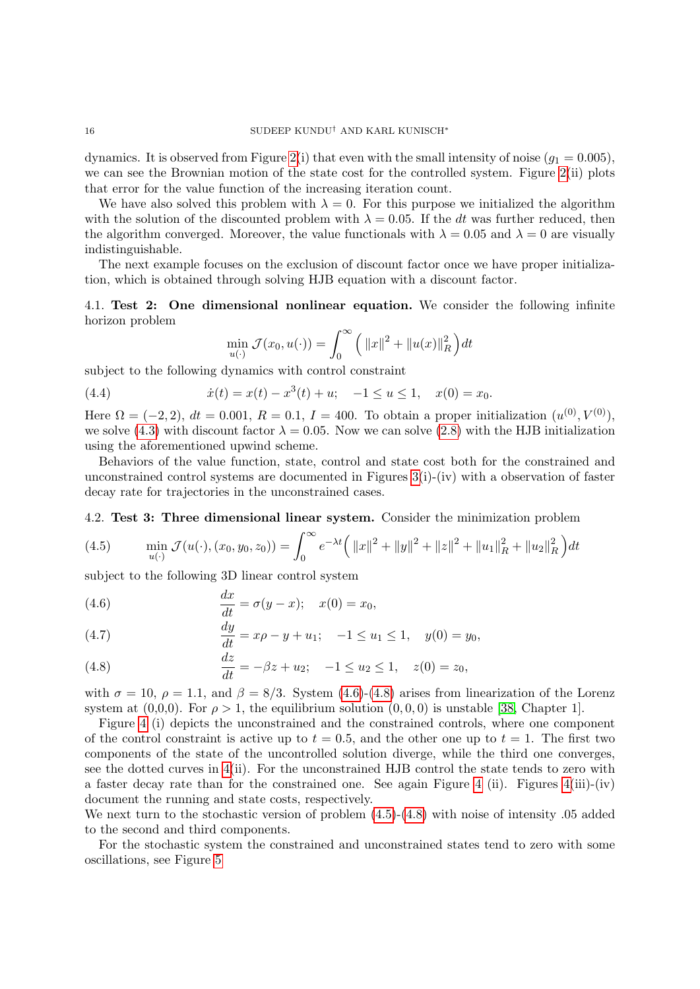dynamics. It is observed from Figure [2\(](#page-17-0)i) that even with the small intensity of noise  $(q_1 = 0.005)$ , we can see the Brownian motion of the state cost for the controlled system. Figure [2\(](#page-17-0)ii) plots that error for the value function of the increasing iteration count.

We have also solved this problem with  $\lambda = 0$ . For this purpose we initialized the algorithm with the solution of the discounted problem with  $\lambda = 0.05$ . If the dt was further reduced, then the algorithm converged. Moreover, the value functionals with  $\lambda = 0.05$  and  $\lambda = 0$  are visually indistinguishable.

The next example focuses on the exclusion of discount factor once we have proper initialization, which is obtained through solving HJB equation with a discount factor.

4.1. Test 2: One dimensional nonlinear equation. We consider the following infinite horizon problem

$$
\min_{u(\cdot)} \mathcal{J}(x_0, u(\cdot)) = \int_0^\infty \left( ||x||^2 + ||u(x)||_R^2 \right) dt
$$

subject to the following dynamics with control constraint

(4.4) 
$$
\dot{x}(t) = x(t) - x^3(t) + u; \quad -1 \le u \le 1, \quad x(0) = x_0.
$$

Here  $\Omega = (-2, 2), dt = 0.001, R = 0.1, I = 400$ . To obtain a proper initialization  $(u^{(0)}, V^{(0)}),$ we solve [\(4.3\)](#page-14-0) with discount factor  $\lambda = 0.05$ . Now we can solve [\(2.8\)](#page-4-0) with the HJB initialization using the aforementioned upwind scheme.

Behaviors of the value function, state, control and state cost both for the constrained and unconstrained control systems are documented in Figures [3\(](#page-17-1)i)-(iv) with a observation of faster decay rate for trajectories in the unconstrained cases.

#### 4.2. Test 3: Three dimensional linear system. Consider the minimization problem

<span id="page-15-2"></span>(4.5) 
$$
\min_{u(\cdot)} \mathcal{J}(u(\cdot), (x_0, y_0, z_0)) = \int_0^\infty e^{-\lambda t} \left( ||x||^2 + ||y||^2 + ||z||^2 + ||u_1||_R^2 + ||u_2||_R^2 \right) dt
$$

subject to the following 3D linear control system

<span id="page-15-0"></span>(4.6) 
$$
\frac{dx}{dt} = \sigma(y - x); \quad x(0) = x_0,
$$

(4.7) 
$$
\frac{dy}{dt} = x\rho - y + u_1; \quad -1 \le u_1 \le 1, \quad y(0) = y_0,
$$

<span id="page-15-1"></span>(4.8) 
$$
\frac{dz}{dt} = -\beta z + u_2; \quad -1 \le u_2 \le 1, \quad z(0) = z_0,
$$

with  $\sigma = 10$ ,  $\rho = 1.1$ , and  $\beta = 8/3$ . System [\(4.6\)](#page-15-0)-[\(4.8\)](#page-15-1) arises from linearization of the Lorenz system at  $(0,0,0)$ . For  $\rho > 1$ , the equilibrium solution  $(0,0,0)$  is unstable [\[38,](#page-21-12) Chapter 1].

Figure [4](#page-18-0) (i) depicts the unconstrained and the constrained controls, where one component of the control constraint is active up to  $t = 0.5$ , and the other one up to  $t = 1$ . The first two components of the state of the uncontrolled solution diverge, while the third one converges, see the dotted curves in [4\(](#page-18-0)ii). For the unconstrained HJB control the state tends to zero with a faster decay rate than for the constrained one. See again Figure [4](#page-18-0) (ii). Figures  $4(iii)-(iv)$ document the running and state costs, respectively.

We next turn to the stochastic version of problem  $(4.5)-(4.8)$  $(4.5)-(4.8)$  $(4.5)-(4.8)$  with noise of intensity .05 added to the second and third components.

For the stochastic system the constrained and unconstrained states tend to zero with some oscillations, see Figure [5](#page-19-0)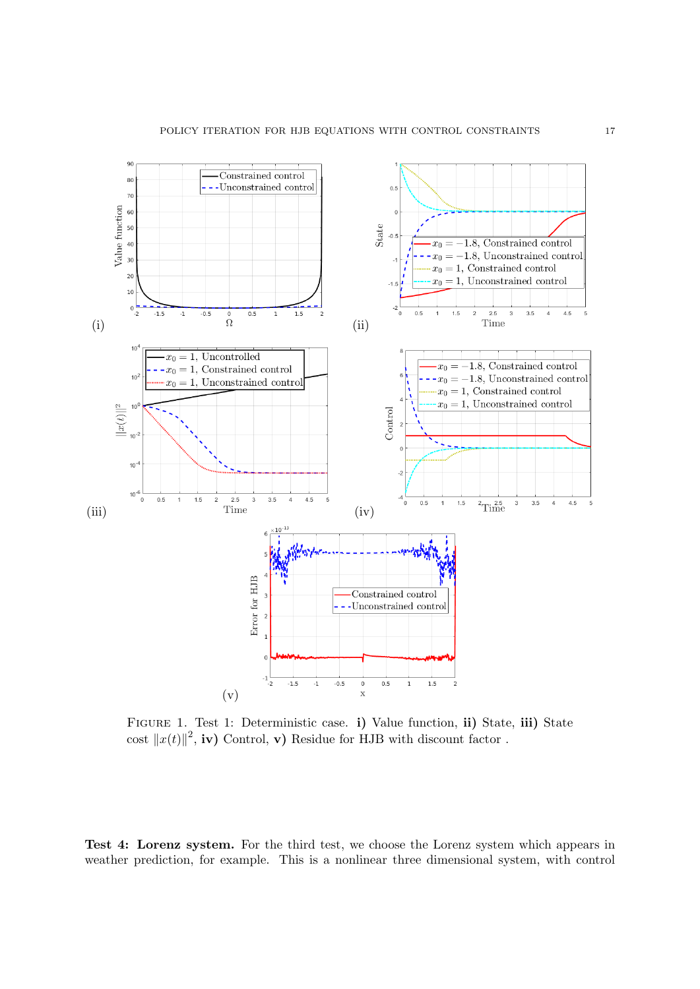<span id="page-16-0"></span>

FIGURE 1. Test 1: Deterministic case. i) Value function, ii) State, iii) State cost  $||x(t)||^2$ , iv) Control, v) Residue for HJB with discount factor.

Test 4: Lorenz system. For the third test, we choose the Lorenz system which appears in weather prediction, for example. This is a nonlinear three dimensional system, with control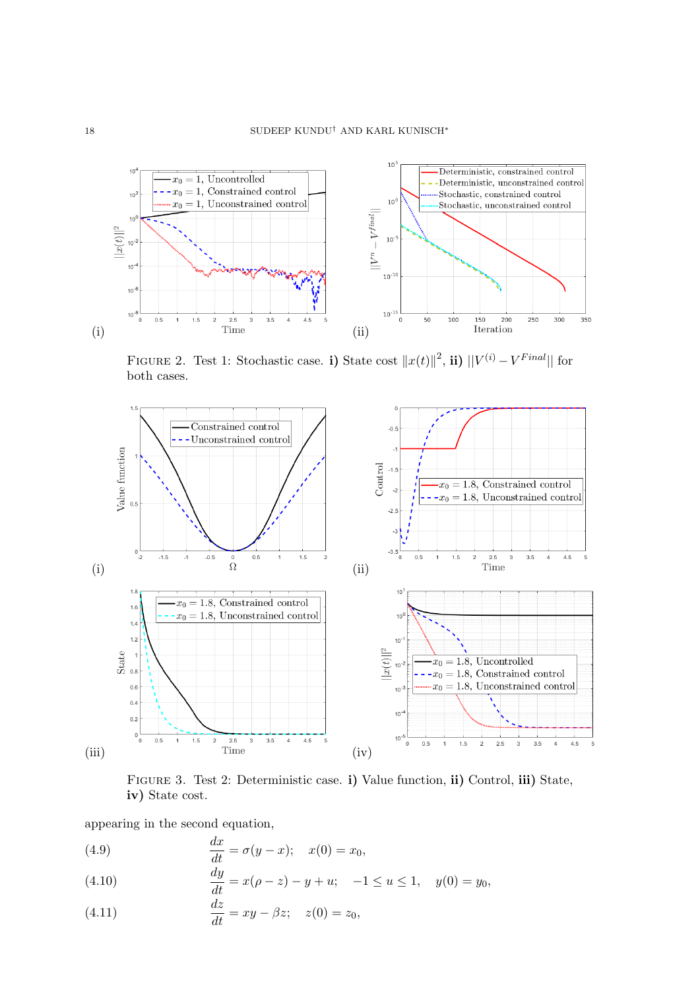<span id="page-17-0"></span>

FIGURE 2. Test 1: Stochastic case. i) State cost  $||x(t)||^2$ , ii)  $||V^{(i)} - V^{Final}||$  for both cases.

<span id="page-17-1"></span>

Figure 3. Test 2: Deterministic case. i) Value function, ii) Control, iii) State, iv) State cost.

appearing in the second equation,

(4.9) 
$$
\frac{dx}{dt} = \sigma(y - x); \quad x(0) = x_0,
$$

<span id="page-17-2"></span>(4.10) 
$$
\frac{dy}{dt} = x(\rho - z) - y + u; \quad -1 \le u \le 1, \quad y(0) = y_0,
$$

(4.11) 
$$
\frac{dz}{dt} = xy - \beta z; \quad z(0) = z_0,
$$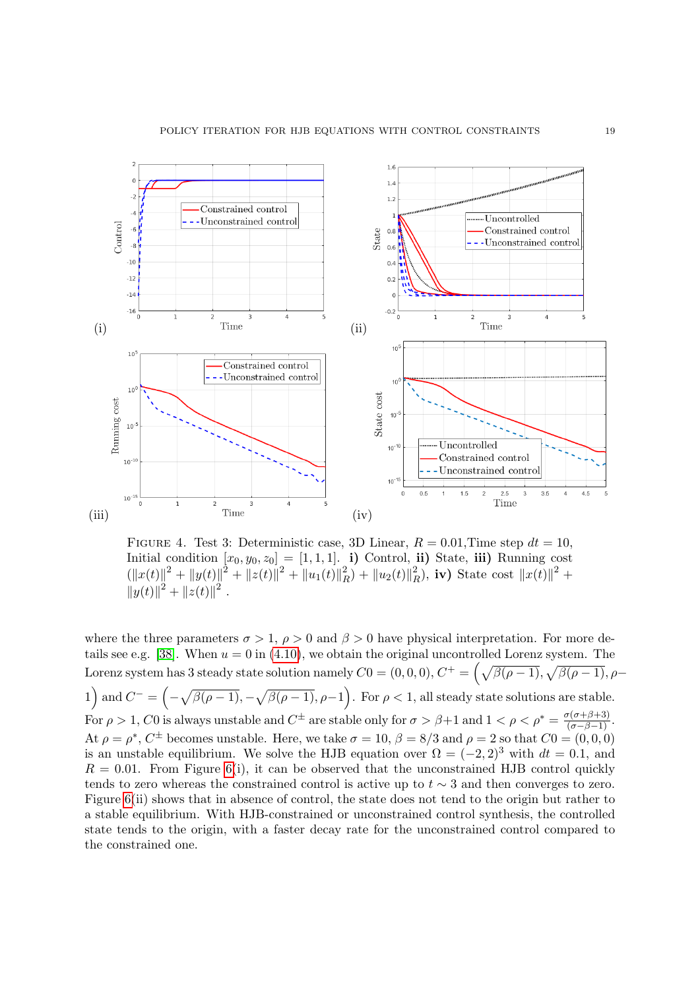<span id="page-18-0"></span>

FIGURE 4. Test 3: Deterministic case, 3D Linear,  $R = 0.01$ , Time step  $dt = 10$ , Initial condition  $[x_0, y_0, z_0] = [1, 1, 1]$ . i) Control, ii) State, iii) Running cost  $(\|x(t)\|^2 + \|y(t)\|^2 + \|z(t)\|^2 + \|u_1(t)\|^2)$  ${2 \choose R} + ||u_2(t)||_P^2$  $\binom{2}{R}$ , iv) State cost  $||x(t)||^2 +$  $||y(t)||^2 + ||z(t)||^2$ .

where the three parameters  $\sigma > 1$ ,  $\rho > 0$  and  $\beta > 0$  have physical interpretation. For more de-tails see e.g. [\[38\]](#page-21-12). When  $u = 0$  in [\(4.10\)](#page-17-2), we obtain the original uncontrolled Lorenz system. The Lorenz system has 3 steady state solution namely  $C0 = (0,0,0), C^+ = \left(\sqrt{\beta(\rho-1)}, \sqrt{\beta(\rho-1)}, \rho-\right)$ 1) and  $C^- = \left(-\sqrt{\beta(\rho-1)}, -\sqrt{\beta(\rho-1)}, \rho-1\right)$ . For  $\rho < 1$ , all steady state solutions are stable. For  $\rho > 1$ , C0 is always unstable and  $C^{\pm}$  are stable only for  $\sigma > \beta + 1$  and  $1 < \rho < \rho^* = \frac{\sigma(\sigma + \beta + 3)}{(\sigma - \beta - 1)}$ . At  $\rho = \rho^*$ ,  $C^{\pm}$  becomes unstable. Here, we take  $\sigma = 10$ ,  $\beta = 8/3$  and  $\rho = 2$  so that  $C_0 = (0, 0, 0)$ is an unstable equilibrium. We solve the HJB equation over  $\Omega = (-2, 2)^3$  with  $dt = 0.1$ , and  $R = 0.01$ . From Figure [6\(](#page-19-1)i), it can be observed that the unconstrained HJB control quickly tends to zero whereas the constrained control is active up to  $t \sim 3$  and then converges to zero. Figure [6\(](#page-19-1)ii) shows that in absence of control, the state does not tend to the origin but rather to a stable equilibrium. With HJB-constrained or unconstrained control synthesis, the controlled state tends to the origin, with a faster decay rate for the unconstrained control compared to the constrained one.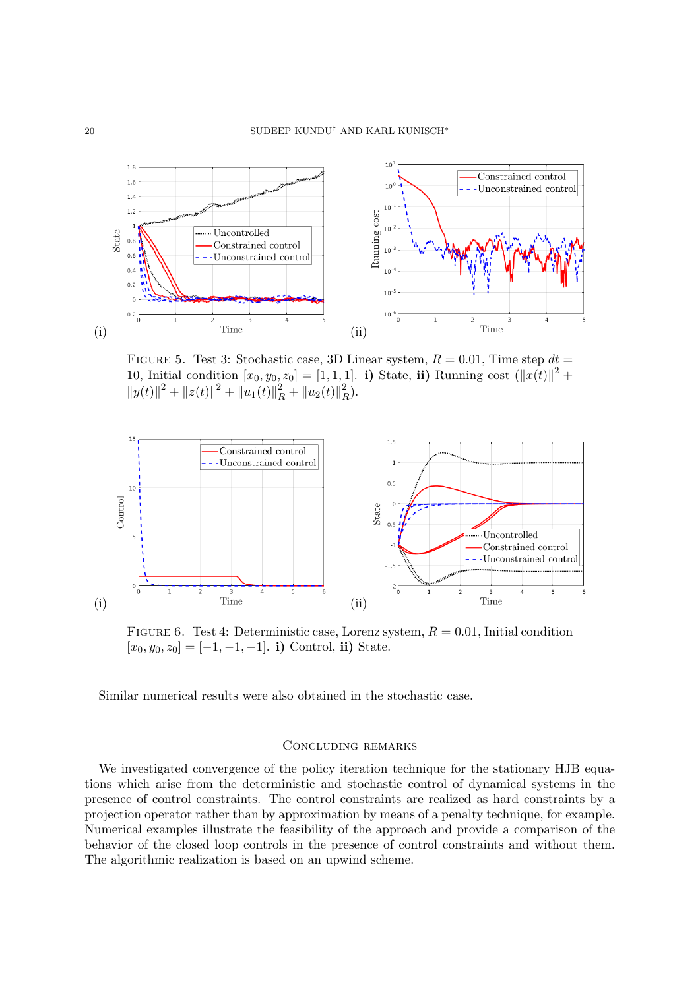<span id="page-19-0"></span>

FIGURE 5. Test 3: Stochastic case, 3D Linear system,  $R = 0.01$ , Time step  $dt =$ 10, Initial condition  $[x_0, y_0, z_0] = [1, 1, 1]$ . i) State, ii) Running cost  $(\Vert x(t) \Vert^2 +$  $||y(t)||^2 + ||z(t)||^2 + ||u_1(t)||_R^2 + ||u_2(t)||_F^2$  $\frac{2}{R}$ .

<span id="page-19-1"></span>

FIGURE 6. Test 4: Deterministic case, Lorenz system,  $R = 0.01$ , Initial condition  $[x_0, y_0, z_0] = [-1, -1, -1]$ . i) Control, ii) State.

Similar numerical results were also obtained in the stochastic case.

### Concluding remarks

We investigated convergence of the policy iteration technique for the stationary HJB equations which arise from the deterministic and stochastic control of dynamical systems in the presence of control constraints. The control constraints are realized as hard constraints by a projection operator rather than by approximation by means of a penalty technique, for example. Numerical examples illustrate the feasibility of the approach and provide a comparison of the behavior of the closed loop controls in the presence of control constraints and without them. The algorithmic realization is based on an upwind scheme.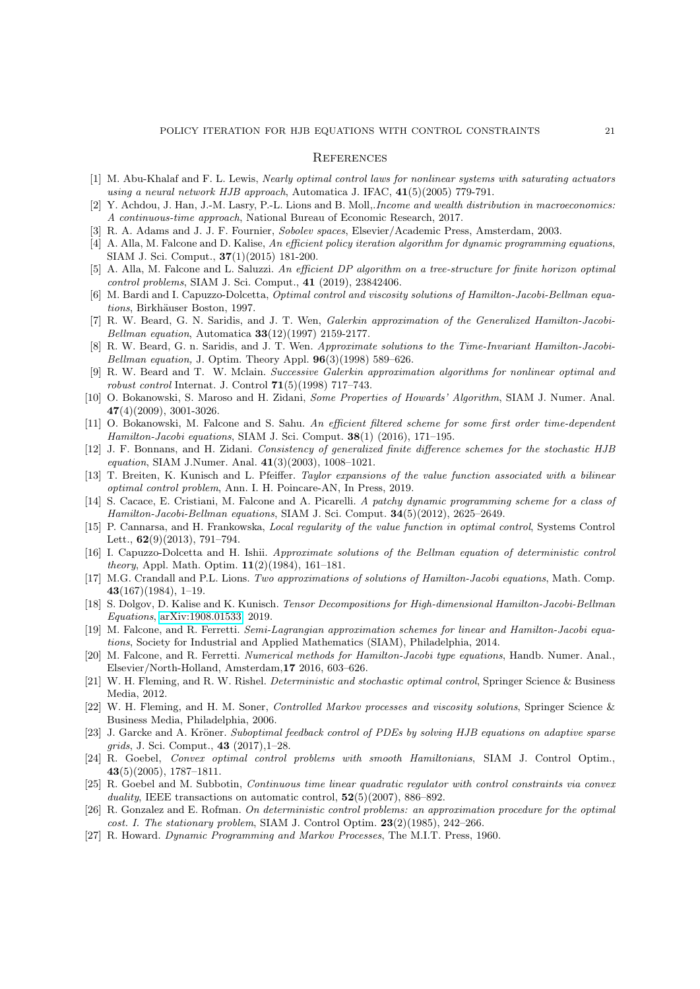#### **REFERENCES**

- <span id="page-20-19"></span>[1] M. Abu-Khalaf and F. L. Lewis, Nearly optimal control laws for nonlinear systems with saturating actuators using a neural network HJB approach, Automatica J. IFAC, 41(5)(2005) 779-791.
- <span id="page-20-21"></span>[2] Y. Achdou, J. Han, J.-M. Lasry, P.-L. Lions and B. Moll,.*Income and wealth distribution in macroeconomics:* A continuous-time approach, National Bureau of Economic Research, 2017.
- <span id="page-20-26"></span>[3] R. A. Adams and J. J. F. Fournier, Sobolev spaces, Elsevier/Academic Press, Amsterdam, 2003.
- <span id="page-20-4"></span>[4] A. Alla, M. Falcone and D. Kalise, An efficient policy iteration algorithm for dynamic programming equations, SIAM J. Sci. Comput., 37(1)(2015) 181-200.
- <span id="page-20-14"></span>[5] A. Alla, M. Falcone and L. Saluzzi. An efficient DP algorithm on a tree-structure for finite horizon optimal control problems, SIAM J. Sci. Comput., 41 (2019), 23842406.
- <span id="page-20-22"></span>[6] M. Bardi and I. Capuzzo-Dolcetta, Optimal control and viscosity solutions of Hamilton-Jacobi-Bellman equations, Birkhäuser Boston, 1997.
- <span id="page-20-24"></span>[7] R. W. Beard, G. N. Saridis, and J. T. Wen, Galerkin approximation of the Generalized Hamilton-Jacobi-Bellman equation, Automatica  $33(12)(1997)$  2159-2177.
- <span id="page-20-10"></span>[8] R. W. Beard, G. n. Saridis, and J. T. Wen. Approximate solutions to the Time-Invariant Hamilton-Jacobi-Bellman equation, J. Optim. Theory Appl.  $96(3)(1998)$  589–626.
- <span id="page-20-11"></span>[9] R. W. Beard and T. W. Mclain. Successive Galerkin approximation algorithms for nonlinear optimal and robust control Internat. J. Control  $71(5)(1998)$  717–743.
- <span id="page-20-25"></span>[10] O. Bokanowski, S. Maroso and H. Zidani, Some Properties of Howards' Algorithm, SIAM J. Numer. Anal. 47(4)(2009), 3001-3026.
- <span id="page-20-7"></span>[11] O. Bokanowski, M. Falcone and S. Sahu. An efficient filtered scheme for some first order time-dependent Hamilton-Jacobi equations, SIAM J. Sci. Comput. 38(1) (2016), 171-195.
- <span id="page-20-15"></span>[12] J. F. Bonnans, and H. Zidani. Consistency of generalized finite difference schemes for the stochastic HJB equation, SIAM J.Numer. Anal. 41(3)(2003), 1008–1021.
- <span id="page-20-13"></span>[13] T. Breiten, K. Kunisch and L. Pfeiffer. Taylor expansions of the value function associated with a bilinear optimal control problem, Ann. I. H. Poincare-AN, In Press, 2019.
- <span id="page-20-8"></span>[14] S. Cacace, E. Cristiani, M. Falcone and A. Picarelli. A patchy dynamic programming scheme for a class of Hamilton-Jacobi-Bellman equations, SIAM J. Sci. Comput.  $34(5)(2012)$ , 2625–2649.
- <span id="page-20-18"></span>[15] P. Cannarsa, and H. Frankowska, Local regularity of the value function in optimal control, Systems Control Lett.,  $62(9)(2013)$ , 791-794.
- <span id="page-20-3"></span>[16] I. Capuzzo-Dolcetta and H. Ishii. Approximate solutions of the Bellman equation of deterministic control *theory*, Appl. Math. Optim.  $11(2)(1984)$ , 161–181.
- <span id="page-20-2"></span>[17] M.G. Crandall and P.L. Lions. Two approximations of solutions of Hamilton-Jacobi equations, Math. Comp.  $43(167)(1984)$ , 1-19.
- <span id="page-20-12"></span>[18] S. Dolgov, D. Kalise and K. Kunisch. Tensor Decompositions for High-dimensional Hamilton-Jacobi-Bellman Equations, [arXiv:1908.01533,](http://arxiv.org/abs/1908.01533) 2019.
- <span id="page-20-5"></span>[19] M. Falcone, and R. Ferretti. Semi-Lagrangian approximation schemes for linear and Hamilton-Jacobi equations, Society for Industrial and Applied Mathematics (SIAM), Philadelphia, 2014.
- <span id="page-20-9"></span>[20] M. Falcone, and R. Ferretti. Numerical methods for Hamilton-Jacobi type equations, Handb. Numer. Anal., Elsevier/North-Holland, Amsterdam,17 2016, 603–626.
- <span id="page-20-0"></span>[21] W. H. Fleming, and R. W. Rishel. Deterministic and stochastic optimal control, Springer Science & Business Media, 2012.
- <span id="page-20-23"></span>[22] W. H. Fleming, and H. M. Soner, Controlled Markov processes and viscosity solutions, Springer Science & Business Media, Philadelphia, 2006.
- <span id="page-20-20"></span>[23] J. Garcke and A. Kröner. Suboptimal feedback control of PDEs by solving HJB equations on adaptive sparse grids, J. Sci. Comput., 43 (2017),1–28.
- <span id="page-20-16"></span>[24] R. Goebel, Convex optimal control problems with smooth Hamiltonians, SIAM J. Control Optim., 43(5)(2005), 1787–1811.
- <span id="page-20-17"></span>[25] R. Goebel and M. Subbotin, Continuous time linear quadratic regulator with control constraints via convex duality, IEEE transactions on automatic control,  $52(5)(2007)$ ,  $886-892$ .
- <span id="page-20-6"></span>[26] R. Gonzalez and E. Rofman. On deterministic control problems: an approximation procedure for the optimal cost. I. The stationary problem, SIAM J. Control Optim.  $23(2)(1985)$ , 242–266.
- <span id="page-20-1"></span>[27] R. Howard. Dynamic Programming and Markov Processes, The M.I.T. Press, 1960.